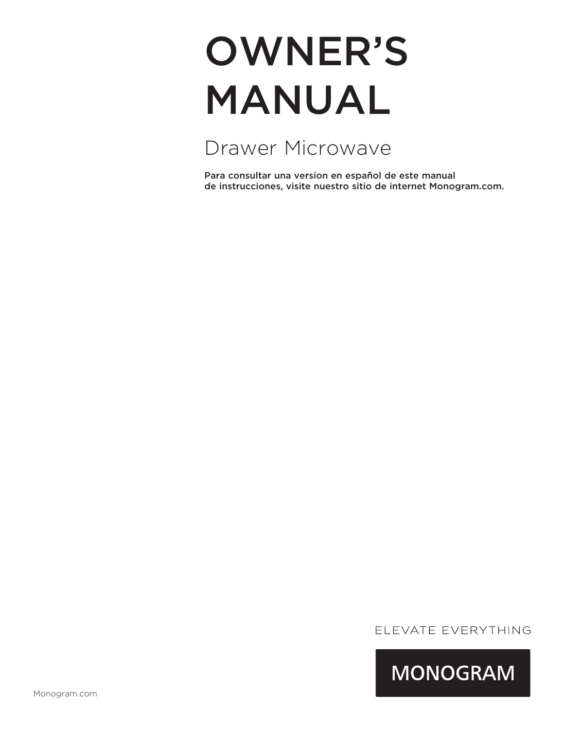# OWNER'S MANUAL

Drawer Microwave

Para consultar una version en español de este manual de instrucciones, visite nuestro sitio de internet Monogram.com.

## ELEVATE EVERYTHING

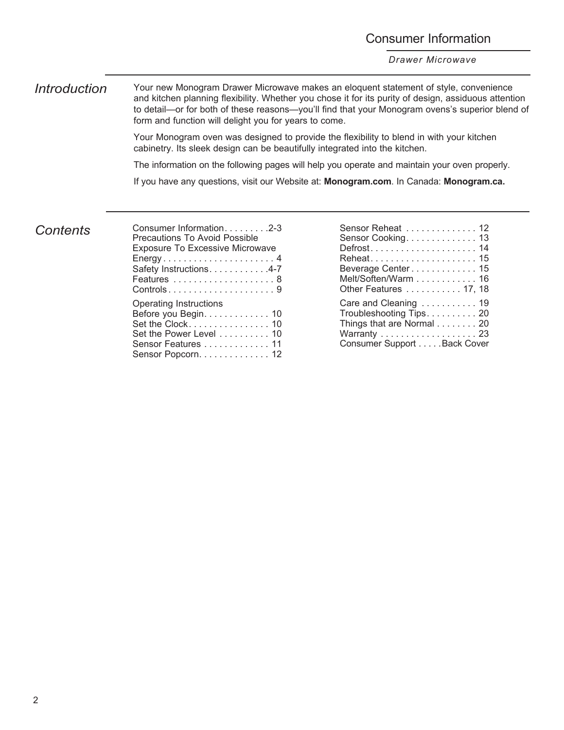## Consumer Information

*Drawer Microwave*

*Introduction* Your new Monogram Drawer Microwave makes an eloquent statement of style, convenience and kitchen planning flexibility. Whether you chose it for its purity of design, assiduous attention to detail—or for both of these reasons—you'll find that your Monogram ovens's superior blend of form and function will delight you for years to come.

> Your Monogram oven was designed to provide the flexibility to blend in with your kitchen cabinetry. Its sleek design can be beautifully integrated into the kitchen.

The information on the following pages will help you operate and maintain your oven properly.

If you have any questions, visit our Website at: **Monogram.com**. In Canada: **Monogram.ca.**

*Contents*

| Consumer Information. 2-3<br><b>Precautions To Avoid Possible</b>                                                                               |
|-------------------------------------------------------------------------------------------------------------------------------------------------|
| <b>Exposure To Excessive Microwave</b><br>Energy4<br>Safety Instructions. 4-7                                                                   |
| <b>Operating Instructions</b><br>Before you Begin. 10<br>Set the Clock 10<br>Set the Power Level 10<br>Sensor Features 11<br>Sensor Popcorn. 12 |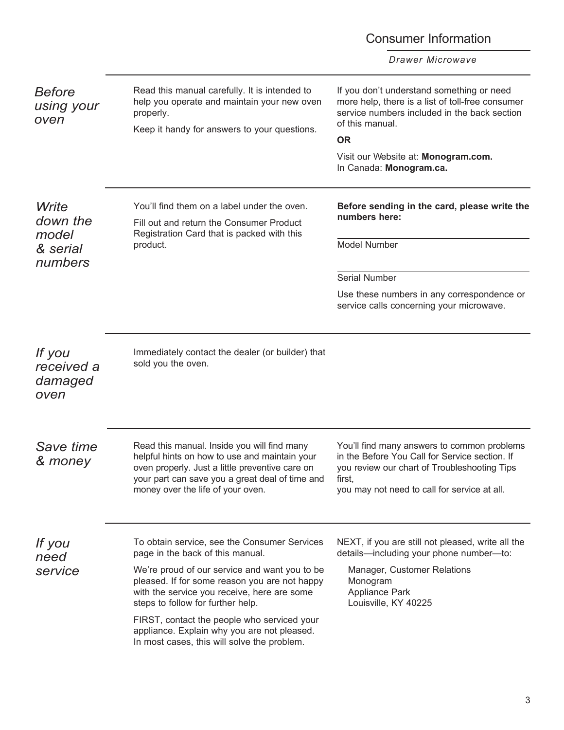|                                         |                                                                                                                                                                                                                                         | <b>Consumer Information</b>                                                                                                                                                                             |
|-----------------------------------------|-----------------------------------------------------------------------------------------------------------------------------------------------------------------------------------------------------------------------------------------|---------------------------------------------------------------------------------------------------------------------------------------------------------------------------------------------------------|
|                                         |                                                                                                                                                                                                                                         | Drawer Microwave                                                                                                                                                                                        |
| <b>Before</b><br>using your<br>oven     | Read this manual carefully. It is intended to<br>help you operate and maintain your new oven<br>properly.<br>Keep it handy for answers to your questions.                                                                               | If you don't understand something or need<br>more help, there is a list of toll-free consumer<br>service numbers included in the back section<br>of this manual.<br><b>OR</b>                           |
|                                         |                                                                                                                                                                                                                                         | Visit our Website at: Monogram.com.<br>In Canada: Monogram.ca.                                                                                                                                          |
| Write<br>down the<br>model              | You'll find them on a label under the oven.<br>Fill out and return the Consumer Product<br>Registration Card that is packed with this                                                                                                   | Before sending in the card, please write the<br>numbers here:                                                                                                                                           |
| & serial<br>numbers                     | product.                                                                                                                                                                                                                                | <b>Model Number</b>                                                                                                                                                                                     |
|                                         |                                                                                                                                                                                                                                         | <b>Serial Number</b>                                                                                                                                                                                    |
|                                         |                                                                                                                                                                                                                                         | Use these numbers in any correspondence or<br>service calls concerning your microwave.                                                                                                                  |
| If you<br>received a<br>damaged<br>oven | Immediately contact the dealer (or builder) that<br>sold you the oven.                                                                                                                                                                  |                                                                                                                                                                                                         |
| Save time<br>& money                    | Read this manual. Inside you will find many<br>helpful hints on how to use and maintain your<br>oven properly. Just a little preventive care on<br>your part can save you a great deal of time and<br>money over the life of your oven. | You'll find many answers to common problems<br>in the Before You Call for Service section. If<br>you review our chart of Troubleshooting Tips<br>first,<br>you may not need to call for service at all. |
| If you<br>need                          | To obtain service, see the Consumer Services<br>page in the back of this manual.                                                                                                                                                        | NEXT, if you are still not pleased, write all the<br>details-including your phone number-to:                                                                                                            |
| service                                 | We're proud of our service and want you to be<br>pleased. If for some reason you are not happy<br>with the service you receive, here are some<br>steps to follow for further help.                                                      | Manager, Customer Relations<br>Monogram<br>Appliance Park<br>Louisville, KY 40225                                                                                                                       |
|                                         | FIRST, contact the people who serviced your<br>appliance. Explain why you are not pleased.<br>In most cases, this will solve the problem.                                                                                               |                                                                                                                                                                                                         |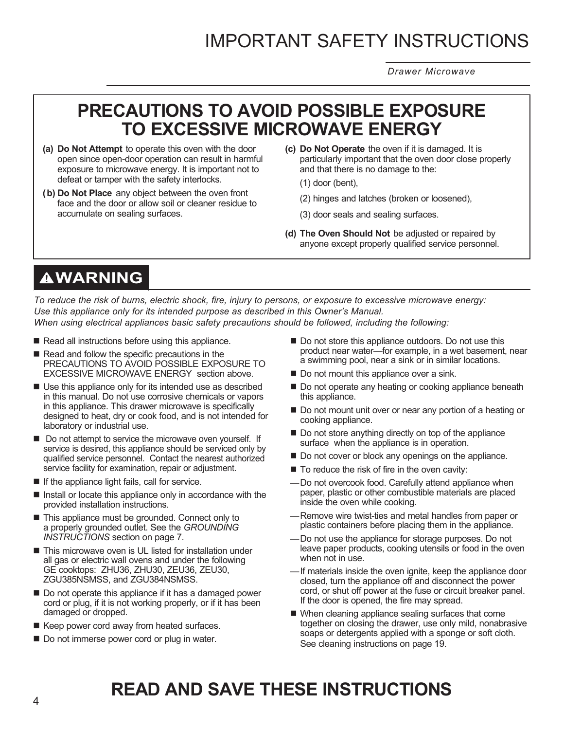*Drawer Microwave*

## **PRECAUTIONS TO AVOID POSSIBLE EXPOSURE TO EXCESSIVE MICROWAVE ENERGY**

- **(a) Do Not Attempt** to operate this oven with the door open since open-door operation can result in harmful exposure to microwave energy. It is important not to defeat or tamper with the safety interlocks.
- **(b) Do Not Place** any object between the oven front face and the door or allow soil or cleaner residue to accumulate on sealing surfaces.
- **(c) Do Not Operate** the oven if it is damaged. It is particularly important that the oven door close properly and that there is no damage to the:
	- (1) door (bent),
	- (2) hinges and latches (broken or loosened),
	- (3) door seals and sealing surfaces.
- **(d) The Oven Should Not** be adjusted or repaired by anyone except properly qualified service personnel.

## **WARNING**

*To reduce the risk of burns, electric shock, fire, injury to persons, or exposure to excessive microwave energy: Use this appliance only for its intended purpose as described in this Owner's Manual. When using electrical appliances basic safety precautions should be followed, including the following:*

- Read all instructions before using this appliance.
- Read and follow the specific precautions in the PRECAUTIONS TO AVOID POSSIBLE EXPOSURE TO EXCESSIVE MICROWAVE ENERGY section above.
- Use this appliance only for its intended use as described in this manual. Do not use corrosive chemicals or vapors in this appliance. This drawer microwave is specifically designed to heat, dry or cook food, and is not intended for laboratory or industrial use.
- Do not attempt to service the microwave oven yourself. If service is desired, this appliance should be serviced only by qualified service personnel. Contact the nearest authorized service facility for examination, repair or adjustment.
- If the appliance light fails, call for service.
- Install or locate this appliance only in accordance with the provided installation instructions.
- This appliance must be grounded. Connect only to a properly grounded outlet. See the *GROUNDING INSTRUCTIONS* section on page 7.
- This microwave oven is UL listed for installation under all gas or electric wall ovens and under the following GE cooktops: ZHU36, ZHU30, ZEU36, ZEU30, ZGU385NSMSS, and ZGU384NSMSS.
- Do not operate this appliance if it has a damaged power cord or plug, if it is not working properly, or if it has been damaged or dropped.
- Keep power cord away from heated surfaces.
- Do not immerse power cord or plug in water.
- Do not store this appliance outdoors. Do not use this product near water—for example, in a wet basement, near a swimming pool, near a sink or in similar locations.
- Do not mount this appliance over a sink.
- Do not operate any heating or cooking appliance beneath this appliance.
- Do not mount unit over or near any portion of a heating or cooking appliance.
- Do not store anything directly on top of the appliance surface when the appliance is in operation.
- Do not cover or block any openings on the appliance.
- $\blacksquare$  To reduce the risk of fire in the oven cavity:
- Do not overcook food. Carefully attend appliance when paper, plastic or other combustible materials are placed inside the oven while cooking.
- Remove wire twist-ties and metal handles from paper or plastic containers before placing them in the appliance.
- Do not use the appliance for storage purposes. Do not leave paper products, cooking utensils or food in the oven when not in use.
- If materials inside the oven ignite, keep the appliance door closed, turn the appliance off and disconnect the power cord, or shut off power at the fuse or circuit breaker panel. If the door is opened, the fire may spread.
- When cleaning appliance sealing surfaces that come together on closing the drawer, use only mild, nonabrasive soaps or detergents applied with a sponge or soft cloth. See cleaning instructions on page 19.

## **READ AND SAVE THESE INSTRUCTIONS**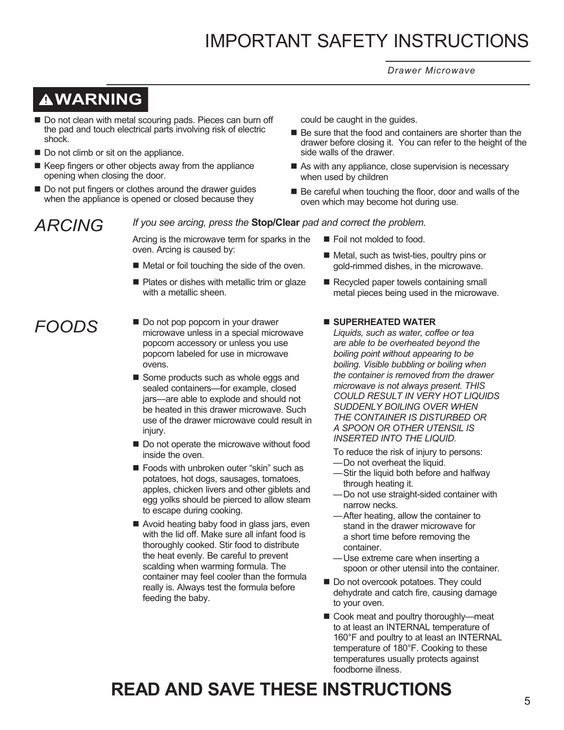*Drawer Microwave*

## **WARNING**

- Do not clean with metal scouring pads. Pieces can burn off the pad and touch electrical parts involving risk of electric shock.
- Do not climb or sit on the appliance.
- Keep fingers or other objects away from the appliance opening when closing the door.
- Do not put fingers or clothes around the drawer guides when the appliance is opened or closed because they

## *ARCING*

*If you see arcing, press the* **Stop/Clear** *pad and correct the problem.*

Arcing is the microwave term for sparks in the oven. Arcing is caused by:

- Metal or foil touching the side of the oven.
- Plates or dishes with metallic trim or glaze with a metallic sheen.

## *FOODS*

- Do not pop popcorn in your drawer microwave unless in a special microwave popcorn accessory or unless you use popcorn labeled for use in microwave ovens.
- Some products such as whole eggs and sealed containers—for example, closed jars—are able to explode and should not be heated in this drawer microwave. Such use of the drawer microwave could result in injury.
- Do not operate the microwave without food inside the oven.
- Foods with unbroken outer "skin" such as potatoes, hot dogs, sausages, tomatoes, apples, chicken livers and other giblets and egg yolks should be pierced to allow steam to escape during cooking.
- Avoid heating baby food in glass jars, even with the lid off. Make sure all infant food is thoroughly cooked. Stir food to distribute the heat evenly. Be careful to prevent scalding when warming formula. The container may feel cooler than the formula really is. Always test the formula before feeding the baby.
- could be caught in the guides.
- Be sure that the food and containers are shorter than the drawer before closing it. You can refer to the height of the side walls of the drawer.
- As with any appliance, close supervision is necessary when used by children
- $\blacksquare$  Be careful when touching the floor, door and walls of the oven which may become hot during use.
	- Foil not molded to food.
	- Metal, such as twist-ties, poultry pins or gold-rimmed dishes, in the microwave.
	- Recycled paper towels containing small metal pieces being used in the microwave.

#### **SUPERHEATED WATER**

*Liquids, such as water, coffee or tea are able to be overheated beyond the boiling point without appearing to be boiling. Visible bubbling or boiling when the container is removed from the drawer microwave is not always present. THIS COULD RESULT IN VERY HOT LIQUIDS SUDDENLY BOILING OVER WHEN THE CONTAINER IS DISTURBED OR A SPOON OR OTHER UTENSIL IS INSERTED INTO THE LIQUID.*

To reduce the risk of injury to persons:

- Do not overheat the liquid.
- Stir the liquid both before and halfway through heating it.
- Do not use straight-sided container with narrow necks.
- After heating, allow the container to stand in the drawer microwave for a short time before removing the container.
- Use extreme care when inserting a spoon or other utensil into the container.
- Do not overcook potatoes. They could dehydrate and catch fire, causing damage to your oven.
- Cook meat and poultry thoroughly—meat to at least an INTERNAL temperature of 160°F and poultry to at least an INTERNAL temperature of 180°F. Cooking to these temperatures usually protects against foodborne illness.

## **READ AND SAVE THESE INSTRUCTIONS**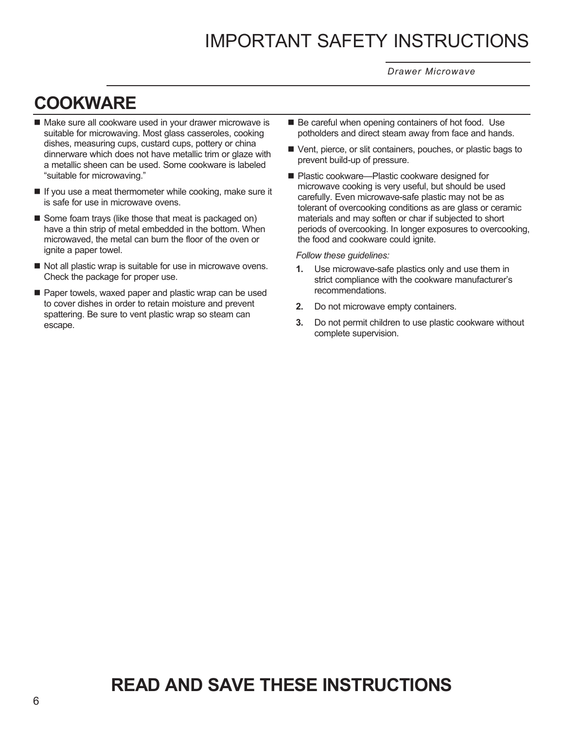*Drawer Microwave*

## **COOKWARE**

- Make sure all cookware used in your drawer microwave is suitable for microwaving. Most glass casseroles, cooking dishes, measuring cups, custard cups, pottery or china dinnerware which does not have metallic trim or glaze with a metallic sheen can be used. Some cookware is labeled "suitable for microwaving."
- $\blacksquare$  If you use a meat thermometer while cooking, make sure it is safe for use in microwave ovens.
- Some foam trays (like those that meat is packaged on) have a thin strip of metal embedded in the bottom. When microwaved, the metal can burn the floor of the oven or ignite a paper towel.
- $\blacksquare$  Not all plastic wrap is suitable for use in microwave ovens. Check the package for proper use.
- Paper towels, waxed paper and plastic wrap can be used to cover dishes in order to retain moisture and prevent spattering. Be sure to vent plastic wrap so steam can escape.
- Be careful when opening containers of hot food. Use potholders and direct steam away from face and hands.
- Vent, pierce, or slit containers, pouches, or plastic bags to prevent build-up of pressure.
- Plastic cookware—Plastic cookware designed for microwave cooking is very useful, but should be used carefully. Even microwave-safe plastic may not be as tolerant of overcooking conditions as are glass or ceramic materials and may soften or char if subjected to short periods of overcooking. In longer exposures to overcooking, the food and cookware could ignite.

#### *Follow these guidelines:*

- **1.** Use microwave-safe plastics only and use them in strict compliance with the cookware manufacturer's recommendations.
- **2.** Do not microwave empty containers.
- **3.** Do not permit children to use plastic cookware without complete supervision.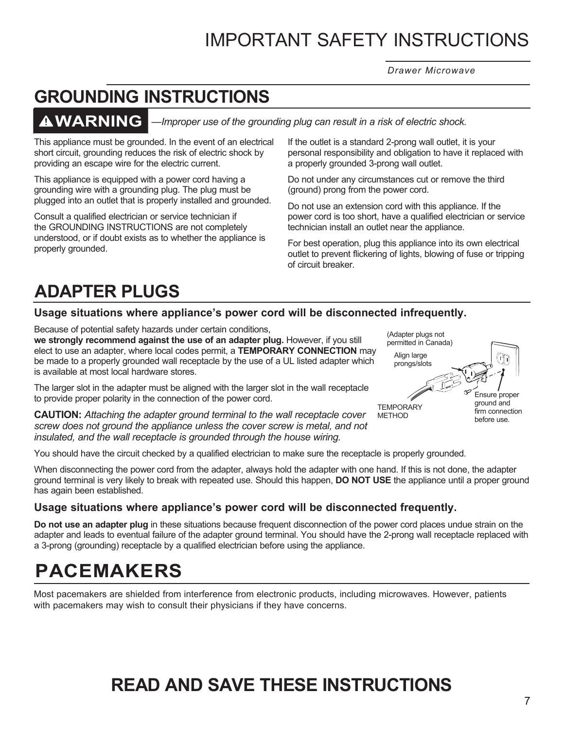*Drawer Microwave*

## **GROUNDING INSTRUCTIONS**

## **WARNING**

*—Improper use of the grounding plug can result in a risk of electric shock.*

This appliance must be grounded. In the event of an electrical short circuit, grounding reduces the risk of electric shock by providing an escape wire for the electric current.

This appliance is equipped with a power cord having a grounding wire with a grounding plug. The plug must be plugged into an outlet that is properly installed and grounded.

Consult a qualified electrician or service technician if the GROUNDING INSTRUCTIONS are not completely understood, or if doubt exists as to whether the appliance is properly grounded.

If the outlet is a standard 2-prong wall outlet, it is your personal responsibility and obligation to have it replaced with a properly grounded 3-prong wall outlet.

Do not under any circumstances cut or remove the third (ground) prong from the power cord.

Do not use an extension cord with this appliance. If the power cord is too short, have a qualified electrician or service technician install an outlet near the appliance.

For best operation, plug this appliance into its own electrical outlet to prevent flickering of lights, blowing of fuse or tripping of circuit breaker.

## **ADAPTER PLUGS**

## **Usage situations where appliance's power cord will be disconnected infrequently.**

Because of potential safety hazards under certain conditions, **we strongly recommend against the use of an adapter plug.** However, if you still elect to use an adapter, where local codes permit, a **TEMPORARY CONNECTION** may be made to a properly grounded wall receptacle by the use of a UL listed adapter which is available at most local hardware stores.

The larger slot in the adapter must be aligned with the larger slot in the wall receptacle to provide proper polarity in the connection of the power cord.

**CAUTION:** *Attaching the adapter ground terminal to the wall receptacle cover screw does not ground the appliance unless the cover screw is metal, and not insulated, and the wall receptacle is grounded through the house wiring.* 



You should have the circuit checked by a qualified electrician to make sure the receptacle is properly grounded.

When disconnecting the power cord from the adapter, always hold the adapter with one hand. If this is not done, the adapter ground terminal is very likely to break with repeated use. Should this happen, **DO NOT USE** the appliance until a proper ground has again been established.

### **Usage situations where appliance's power cord will be disconnected frequently.**

**Do not use an adapter plug** in these situations because frequent disconnection of the power cord places undue strain on the adapter and leads to eventual failure of the adapter ground terminal. You should have the 2-prong wall receptacle replaced with a 3-prong (grounding) receptacle by a qualified electrician before using the appliance.

## **PACEMAKERS**

Most pacemakers are shielded from interference from electronic products, including microwaves. However, patients with pacemakers may wish to consult their physicians if they have concerns.

## **READ AND SAVE THESE INSTRUCTIONS**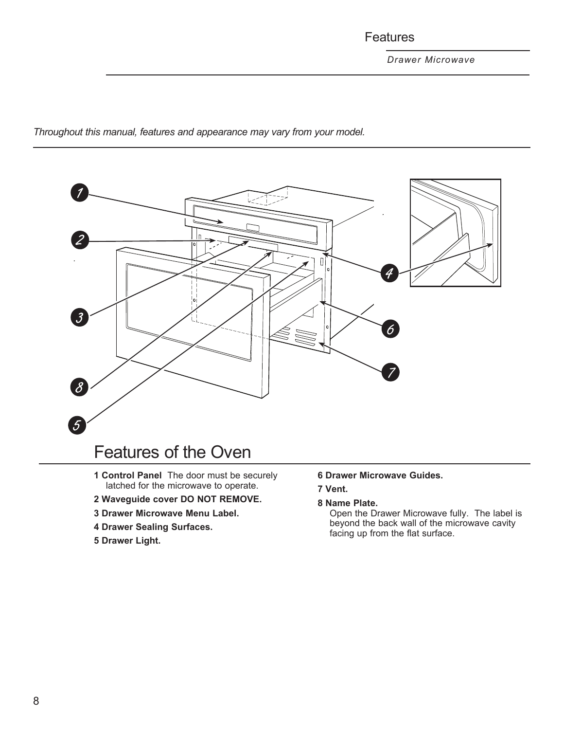## Features

*Throughout this manual, features and appearance may vary from your model.*



- **1 Control Panel** The door must be securely latched for the microwave to operate.
- **2 Waveguide cover DO NOT REMOVE.**
- **3 Drawer Microwave Menu Label.**
- **4 Drawer Sealing Surfaces.**
- **5 Drawer Light.**

**6 Drawer Microwave Guides.**

### **7 Vent.**

### **8 Name Plate.**

Open the Drawer Microwave fully. The label is beyond the back wall of the microwave cavity facing up from the flat surface.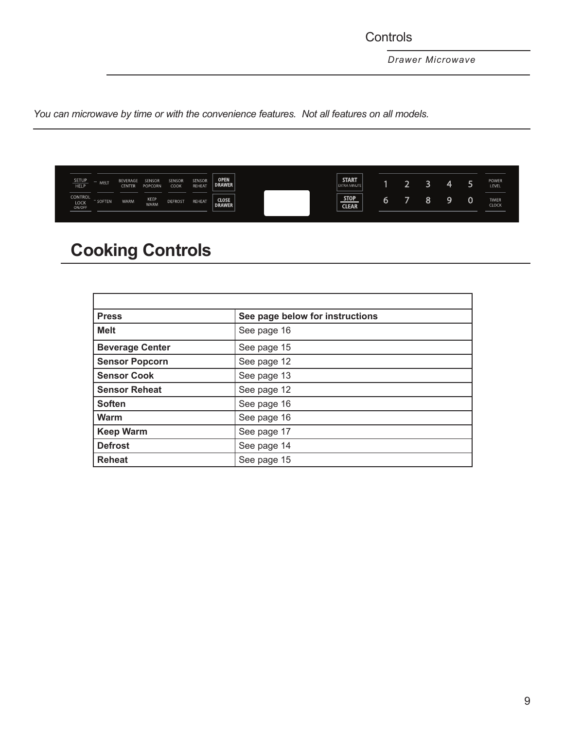**Controls** 

*Drawer Microwave*

*You can microwave by time or with the convenience features. Not all features on all models.*

| <b>SETUP</b><br>l<br><b>HELP</b>        | <b>MEL</b> | BEVERAGE<br>CENTER | SENSOR<br>POPCORN   | <b>SENSOR</b><br><b>COOK</b> | <b>SENSOR</b><br><b>REHEAT</b> | <b>OPEN</b><br><b>DRAWER</b>  | <b>START</b><br><b>EXTRA MINUTE</b> | ÷ |   | 4 | POWER<br>LEVEL               |
|-----------------------------------------|------------|--------------------|---------------------|------------------------------|--------------------------------|-------------------------------|-------------------------------------|---|---|---|------------------------------|
| <b>CONTROL</b><br><b>LOCK</b><br>ON/OFF | SOFTEN     | <b>WARM</b>        | KEEP<br><b>WARM</b> | <b>DEFROST</b>               | <b>REHEAT</b>                  | <b>CLOSE</b><br><b>DRAWER</b> | <b>STOP</b><br><b>CLEAR</b>         |   | Ō | ы | <b>TIMER</b><br><b>CLOCK</b> |

## **Cooking Controls**

| <b>Press</b>           | See page below for instructions |
|------------------------|---------------------------------|
| <b>Melt</b>            | See page 16                     |
| <b>Beverage Center</b> | See page 15                     |
| <b>Sensor Popcorn</b>  | See page 12                     |
| <b>Sensor Cook</b>     | See page 13                     |
| <b>Sensor Reheat</b>   | See page 12                     |
| <b>Soften</b>          | See page 16                     |
| Warm                   | See page 16                     |
| <b>Keep Warm</b>       | See page 17                     |
| <b>Defrost</b>         | See page 14                     |
| <b>Reheat</b>          | See page 15                     |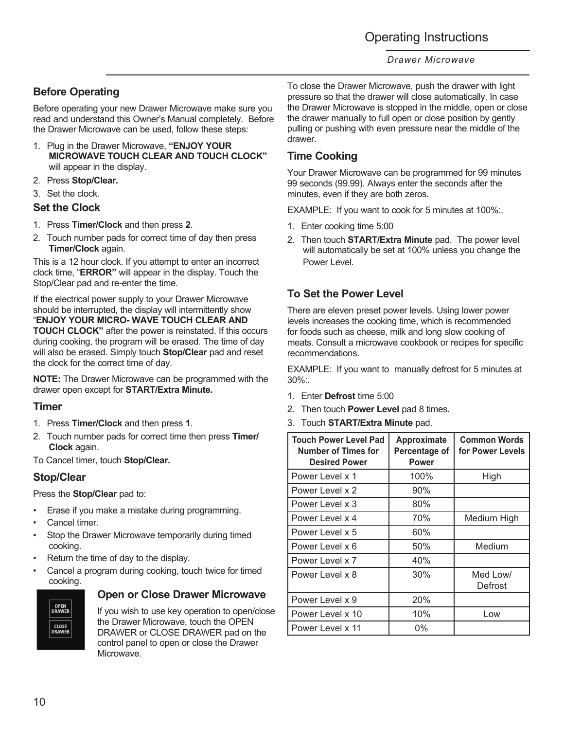## Operating Instructions

### *Drawer Microwave*

## **Before Operating**

Before operating your new Drawer Microwave make sure you read and understand this Owner's Manual completely. Before the Drawer Microwave can be used, follow these steps:

- 1. Plug in the Drawer Microwave, **"ENJOY YOUR MICROWAVE TOUCH CLEAR AND TOUCH CLOCK"** will appear in the display.
- 2. Press **Stop/Clear.**
- 3. Set the clock.

### **Set the Clock**

- 1. Press **Timer/Clock** and then press **2**.
- 2. Touch number pads for correct time of day then press **Timer/Clock** again.

This is a 12 hour clock. If you attempt to enter an incorrect clock time, "**ERROR"** will appear in the display. Touch the Stop/Clear pad and re-enter the time.

If the electrical power supply to your Drawer Microwave should be interrupted, the display will intermittently show "**ENJOY YOUR MICRO- WAVE TOUCH CLEAR AND TOUCH CLOCK"** after the power is reinstated. If this occurs during cooking, the program will be erased. The time of day will also be erased. Simply touch **Stop/Clear** pad and reset the clock for the correct time of day.

**NOTE:** The Drawer Microwave can be programmed with the drawer open except for **START/Extra Minute.**

### **Timer**

- 1. Press **Timer/Clock** and then press **1**.
- 2. Touch number pads for correct time then press **Timer/ Clock** again.

To Cancel timer, touch **Stop/Clear.**

### **Stop/Clear**

Press the **Stop/Clear** pad to:

- Erase if you make a mistake during programming.
- Cancel timer.
- Stop the Drawer Microwave temporarily during timed cooking.
- Return the time of day to the display.
- Cancel a program during cooking, touch twice for timed cooking.



### **Open or Close Drawer Microwave**

If you wish to use key operation to open/close the Drawer Microwave, touch the OPEN DRAWER or CLOSE DRAWER pad on the control panel to open or close the Drawer Microwave.

To close the Drawer Microwave, push the drawer with light pressure so that the drawer will close automatically. In case the Drawer Microwave is stopped in the middle, open or close the drawer manually to full open or close position by gently pulling or pushing with even pressure near the middle of the drawer.

## **Time Cooking**

Your Drawer Microwave can be programmed for 99 minutes 99 seconds (99.99). Always enter the seconds after the minutes, even if they are both zeros.

EXAMPLE: If you want to cook for 5 minutes at 100%:.

- 1. Enter cooking time 5:00
- 2. Then touch **START/Extra Minute** pad. The power level will automatically be set at 100% unless you change the Power Level.

## **To Set the Power Level**

There are eleven preset power levels. Using lower power levels increases the cooking time, which is recommended for foods such as cheese, milk and long slow cooking of meats. Consult a microwave cookbook or recipes for specific recommendations.

EXAMPLE: If you want to manually defrost for 5 minutes at 30%:.

- 1. Enter **Defrost** time 5:00
- 2. Then touch **Power Level** pad 8 times**.**
- 3. Touch **START/Extra Minute** pad.

| <b>Touch Power Level Pad</b><br><b>Number of Times for</b><br><b>Desired Power</b> | Approximate<br>Percentage of<br><b>Power</b> | <b>Common Words</b><br>for Power Levels |
|------------------------------------------------------------------------------------|----------------------------------------------|-----------------------------------------|
| Power Level x 1                                                                    | 100%                                         | High                                    |
| Power Level x 2                                                                    | 90%                                          |                                         |
| Power Level x 3                                                                    | 80%                                          |                                         |
| Power Level x 4                                                                    | 70%                                          | Medium High                             |
| Power Level x 5                                                                    | 60%                                          |                                         |
| Power Level x 6                                                                    | 50%                                          | Medium                                  |
| Power Level x 7                                                                    | 40%                                          |                                         |
| Power Level x 8                                                                    | 30%                                          | Med Low/<br>Defrost                     |
| Power Level x 9                                                                    | 20%                                          |                                         |
| Power Level x 10                                                                   | 10%                                          | Low                                     |
| l Power Level x 11                                                                 | 0%                                           |                                         |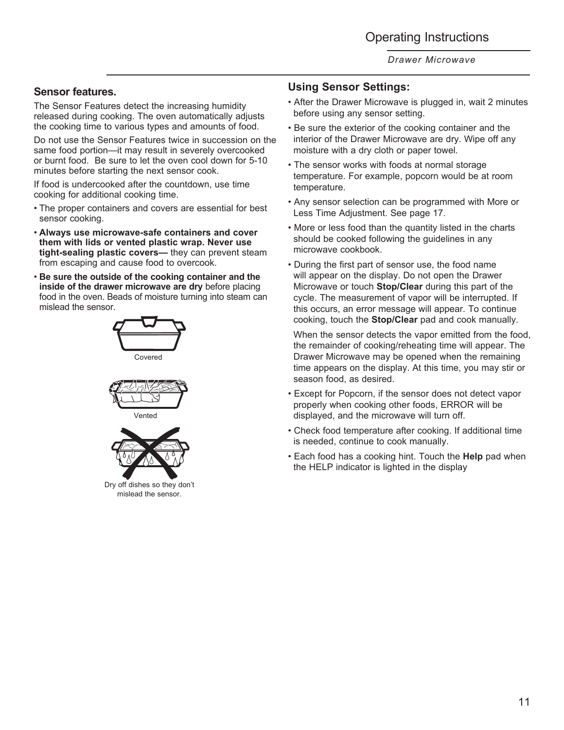### **Sensor features.**

The Sensor Features detect the increasing humidity released during cooking. The oven automatically adjusts the cooking time to various types and amounts of food.

Do not use the Sensor Features twice in succession on the same food portion—it may result in severely overcooked or burnt food. Be sure to let the oven cool down for 5-10 minutes before starting the next sensor cook.

If food is undercooked after the countdown, use time cooking for additional cooking time.

- The proper containers and covers are essential for best sensor cooking.
- **Always use microwave-safe containers and cover them with lids or vented plastic wrap. Never use tight-sealing plastic covers—** they can prevent steam from escaping and cause food to overcook.
- **Be sure the outside of the cooking container and the inside of the drawer microwave are dry** before placing food in the oven. Beads of moisture turning into steam can mislead the sensor.







Dry off dishes so they don't mislead the sensor.

## **Using Sensor Settings:**

- After the Drawer Microwave is plugged in, wait 2 minutes before using any sensor setting.
- Be sure the exterior of the cooking container and the interior of the Drawer Microwave are dry. Wipe off any moisture with a dry cloth or paper towel.
- The sensor works with foods at normal storage temperature. For example, popcorn would be at room temperature.
- Any sensor selection can be programmed with More or Less Time Adjustment. See page 17.
- More or less food than the quantity listed in the charts should be cooked following the guidelines in any microwave cookbook.
- During the first part of sensor use, the food name will appear on the display. Do not open the Drawer Microwave or touch **Stop/Clear** during this part of the cycle. The measurement of vapor will be interrupted. If this occurs, an error message will appear. To continue cooking, touch the **Stop/Clear** pad and cook manually.

 When the sensor detects the vapor emitted from the food, the remainder of cooking/reheating time will appear. The Drawer Microwave may be opened when the remaining time appears on the display. At this time, you may stir or season food, as desired.

- Except for Popcorn, if the sensor does not detect vapor properly when cooking other foods, ERROR will be displayed, and the microwave will turn off.
- Check food temperature after cooking. If additional time is needed, continue to cook manually.
- Each food has a cooking hint. Touch the **Help** pad when the HELP indicator is lighted in the display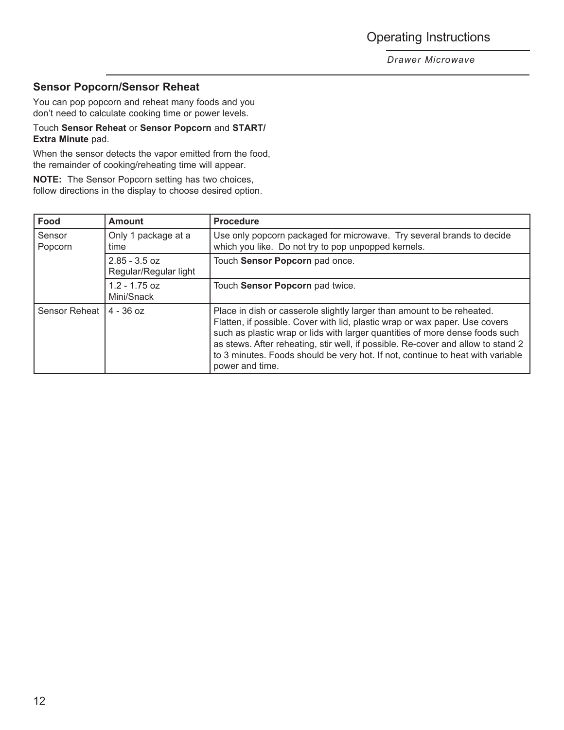Operating Instructions

*Drawer Microwave*

### **Sensor Popcorn/Sensor Reheat**

You can pop popcorn and reheat many foods and you don't need to calculate cooking time or power levels.

### Touch **Sensor Reheat** or **Sensor Popcorn** and **START/ Extra Minute** pad.

When the sensor detects the vapor emitted from the food, the remainder of cooking/reheating time will appear.

**NOTE:** The Sensor Popcorn setting has two choices, follow directions in the display to choose desired option.

| Food              | <b>Amount</b>                            | <b>Procedure</b>                                                                                                                                                                                                                                                                                                                                                                                                               |  |
|-------------------|------------------------------------------|--------------------------------------------------------------------------------------------------------------------------------------------------------------------------------------------------------------------------------------------------------------------------------------------------------------------------------------------------------------------------------------------------------------------------------|--|
| Sensor<br>Popcorn | Only 1 package at a<br>time              | Use only popcorn packaged for microwave. Try several brands to decide<br>which you like. Do not try to pop unpopped kernels.                                                                                                                                                                                                                                                                                                   |  |
|                   | $2.85 - 3.5$ oz<br>Regular/Regular light | Touch Sensor Popcorn pad once.                                                                                                                                                                                                                                                                                                                                                                                                 |  |
|                   | $1.2 - 1.75$ oz<br>Mini/Snack            | Touch Sensor Popcorn pad twice.                                                                                                                                                                                                                                                                                                                                                                                                |  |
| Sensor Reheat     | $4 - 36$ oz                              | Place in dish or casserole slightly larger than amount to be reheated.<br>Flatten, if possible. Cover with lid, plastic wrap or wax paper. Use covers<br>such as plastic wrap or lids with larger quantities of more dense foods such<br>as stews. After reheating, stir well, if possible. Re-cover and allow to stand 2<br>to 3 minutes. Foods should be very hot. If not, continue to heat with variable<br>power and time. |  |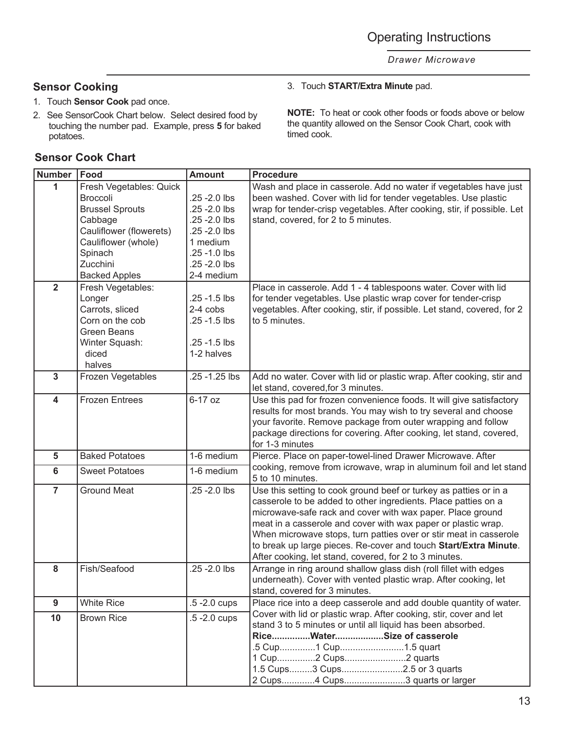## **Sensor Cooking**

- 1. Touch **Sensor Cook** pad once.
- 2. See SensorCook Chart below. Select desired food by touching the number pad. Example, press **5** for baked potatoes.

## **Sensor Cook Chart**

### 3. Touch **START/Extra Minute** pad.

**NOTE:** To heat or cook other foods or foods above or below the quantity allowed on the Sensor Cook Chart, cook with timed cook.

| <b>Number</b>           | Food                    | <b>Amount</b>   | <b>Procedure</b>                                                        |  |  |
|-------------------------|-------------------------|-----------------|-------------------------------------------------------------------------|--|--|
| 1                       | Fresh Vegetables: Quick |                 | Wash and place in casserole. Add no water if vegetables have just       |  |  |
|                         | Broccoli                | .25 - 2.0 lbs   | been washed. Cover with lid for tender vegetables. Use plastic          |  |  |
|                         | <b>Brussel Sprouts</b>  | .25 - 2.0 lbs   | wrap for tender-crisp vegetables. After cooking, stir, if possible. Let |  |  |
|                         | Cabbage                 | .25 - 2.0 lbs   | stand, covered, for 2 to 5 minutes.                                     |  |  |
|                         | Cauliflower (flowerets) | .25 - 2.0 lbs   |                                                                         |  |  |
|                         | Cauliflower (whole)     | 1 medium        |                                                                         |  |  |
|                         | Spinach                 | .25 -1.0 lbs    |                                                                         |  |  |
|                         | Zucchini                | .25 - 2.0 lbs   |                                                                         |  |  |
|                         | <b>Backed Apples</b>    | 2-4 medium      |                                                                         |  |  |
| $\overline{\mathbf{2}}$ | Fresh Vegetables:       |                 | Place in casserole. Add 1 - 4 tablespoons water. Cover with lid         |  |  |
|                         | Longer                  | .25 -1.5 lbs    | for tender vegetables. Use plastic wrap cover for tender-crisp          |  |  |
|                         | Carrots, sliced         | 2-4 cobs        | vegetables. After cooking, stir, if possible. Let stand, covered, for 2 |  |  |
|                         | Corn on the cob         | .25 -1.5 lbs    | to 5 minutes.                                                           |  |  |
|                         | <b>Green Beans</b>      |                 |                                                                         |  |  |
|                         | Winter Squash:          | .25 -1.5 lbs    |                                                                         |  |  |
|                         | diced                   | 1-2 halves      |                                                                         |  |  |
|                         | halves                  |                 |                                                                         |  |  |
| $\mathbf{3}$            | Frozen Vegetables       | .25 - 1.25 lbs  | Add no water. Cover with lid or plastic wrap. After cooking, stir and   |  |  |
|                         |                         |                 | let stand, covered, for 3 minutes.                                      |  |  |
| $\overline{\mathbf{4}}$ | <b>Frozen Entrees</b>   | 6-17 oz         | Use this pad for frozen convenience foods. It will give satisfactory    |  |  |
|                         |                         |                 | results for most brands. You may wish to try several and choose         |  |  |
|                         |                         |                 | your favorite. Remove package from outer wrapping and follow            |  |  |
|                         |                         |                 | package directions for covering. After cooking, let stand, covered,     |  |  |
|                         |                         |                 | for 1-3 minutes                                                         |  |  |
| 5                       | <b>Baked Potatoes</b>   | 1-6 medium      | Pierce. Place on paper-towel-lined Drawer Microwave. After              |  |  |
| $6\phantom{1}6$         | <b>Sweet Potatoes</b>   | 1-6 medium      | cooking, remove from icrowave, wrap in aluminum foil and let stand      |  |  |
|                         |                         |                 | 5 to 10 minutes.                                                        |  |  |
| $\overline{7}$          | <b>Ground Meat</b>      | .25 - 2.0 lbs   | Use this setting to cook ground beef or turkey as patties or in a       |  |  |
|                         |                         |                 | casserole to be added to other ingredients. Place patties on a          |  |  |
|                         |                         |                 | microwave-safe rack and cover with wax paper. Place ground              |  |  |
|                         |                         |                 | meat in a casserole and cover with wax paper or plastic wrap.           |  |  |
|                         |                         |                 | When microwave stops, turn patties over or stir meat in casserole       |  |  |
|                         |                         |                 | to break up large pieces. Re-cover and touch Start/Extra Minute.        |  |  |
|                         |                         |                 | After cooking, let stand, covered, for 2 to 3 minutes.                  |  |  |
| 8                       | Fish/Seafood            | .25 - 2.0 lbs   | Arrange in ring around shallow glass dish (roll fillet with edges       |  |  |
|                         |                         |                 | underneath). Cover with vented plastic wrap. After cooking, let         |  |  |
|                         |                         |                 | stand, covered for 3 minutes.                                           |  |  |
| 9                       | <b>White Rice</b>       | .5 - 2.0 cups   | Place rice into a deep casserole and add double quantity of water.      |  |  |
| 10                      | <b>Brown Rice</b>       | $.5 - 2.0$ cups | Cover with lid or plastic wrap. After cooking, stir, cover and let      |  |  |
|                         |                         |                 | stand 3 to 5 minutes or until all liquid has been absorbed.             |  |  |
|                         |                         |                 | RiceWaterSize of casserole                                              |  |  |
|                         |                         |                 | .5 Cup1 Cup1.5 quart                                                    |  |  |
|                         |                         |                 | 1 Cup2 Cups2 quarts                                                     |  |  |
|                         |                         |                 | 1.5 Cups3 Cups2.5 or 3 quarts                                           |  |  |
|                         |                         |                 | 2 Cups4 Cups3 quarts or larger                                          |  |  |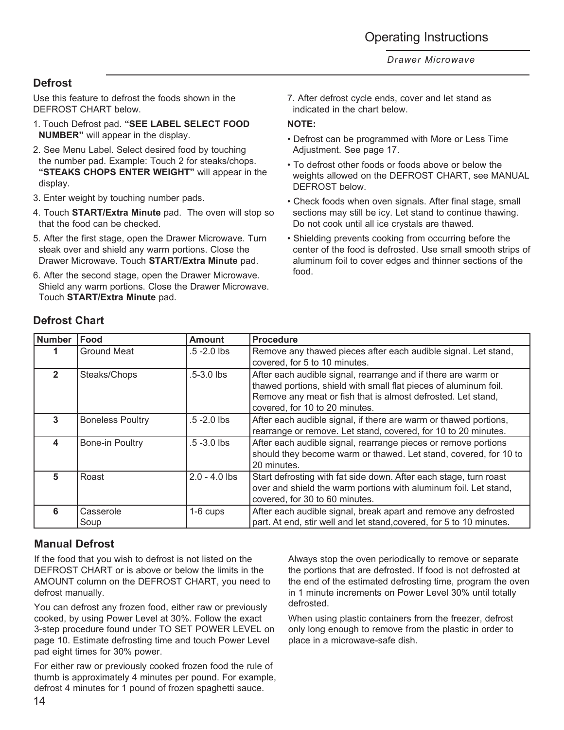## **Defrost**

Use this feature to defrost the foods shown in the DEFROST CHART below.

- 1. Touch Defrost pad. **"SEE LABEL SELECT FOOD NUMBER"** will appear in the display.
- 2. See Menu Label. Select desired food by touching the number pad. Example: Touch 2 for steaks/chops. **"STEAKS CHOPS ENTER WEIGHT"** will appear in the display.
- 3. Enter weight by touching number pads.
- 4. Touch **START/Extra Minute** pad. The oven will stop so that the food can be checked.
- 5. After the first stage, open the Drawer Microwave. Turn steak over and shield any warm portions. Close the Drawer Microwave. Touch **START/Extra Minute** pad.
- 6. After the second stage, open the Drawer Microwave. Shield any warm portions. Close the Drawer Microwave. Touch **START/Extra Minute** pad.

7. After defrost cycle ends, cover and let stand as indicated in the chart below.

### **NOTE:**

- Defrost can be programmed with More or Less Time Adjustment. See page 17.
- To defrost other foods or foods above or below the weights allowed on the DEFROST CHART, see MANUAL DEFROST below.
- Check foods when oven signals. After final stage, small sections may still be icy. Let stand to continue thawing. Do not cook until all ice crystals are thawed.
- Shielding prevents cooking from occurring before the center of the food is defrosted. Use small smooth strips of aluminum foil to cover edges and thinner sections of the food.

| <b>Number</b>  | Food                    | <b>Amount</b>   | <b>Procedure</b>                                                                                                                                                                                                                    |  |
|----------------|-------------------------|-----------------|-------------------------------------------------------------------------------------------------------------------------------------------------------------------------------------------------------------------------------------|--|
|                | <b>Ground Meat</b>      | $.5 - 2.0$ lbs  | Remove any thawed pieces after each audible signal. Let stand,<br>covered, for 5 to 10 minutes.                                                                                                                                     |  |
| $\overline{2}$ | Steaks/Chops            | $.5 - 3.0$ lbs  | After each audible signal, rearrange and if there are warm or<br>thawed portions, shield with small flat pieces of aluminum foil.<br>Remove any meat or fish that is almost defrosted. Let stand,<br>covered, for 10 to 20 minutes. |  |
| 3              | <b>Boneless Poultry</b> | $.5 - 2.0$ lbs  | After each audible signal, if there are warm or thawed portions,<br>rearrange or remove. Let stand, covered, for 10 to 20 minutes.                                                                                                  |  |
| 4              | Bone-in Poultry         | $.5 - 3.0$ lbs  | After each audible signal, rearrange pieces or remove portions<br>should they become warm or thawed. Let stand, covered, for 10 to<br>20 minutes.                                                                                   |  |
| 5              | Roast                   | $2.0 - 4.0$ lbs | Start defrosting with fat side down. After each stage, turn roast<br>over and shield the warm portions with aluminum foil. Let stand,<br>covered, for 30 to 60 minutes.                                                             |  |
| 6              | Casserole<br>Soup       | 1-6 cups        | After each audible signal, break apart and remove any defrosted<br>part. At end, stir well and let stand, covered, for 5 to 10 minutes.                                                                                             |  |

## **Defrost Chart**

## **Manual Defrost**

If the food that you wish to defrost is not listed on the DEFROST CHART or is above or below the limits in the AMOUNT column on the DEFROST CHART, you need to defrost manually.

You can defrost any frozen food, either raw or previously cooked, by using Power Level at 30%. Follow the exact 3-step procedure found under TO SET POWER LEVEL on page 10. Estimate defrosting time and touch Power Level pad eight times for 30% power.

For either raw or previously cooked frozen food the rule of thumb is approximately 4 minutes per pound. For example, defrost 4 minutes for 1 pound of frozen spaghetti sauce.

Always stop the oven periodically to remove or separate the portions that are defrosted. If food is not defrosted at the end of the estimated defrosting time, program the oven in 1 minute increments on Power Level 30% until totally defrosted.

When using plastic containers from the freezer, defrost only long enough to remove from the plastic in order to place in a microwave-safe dish.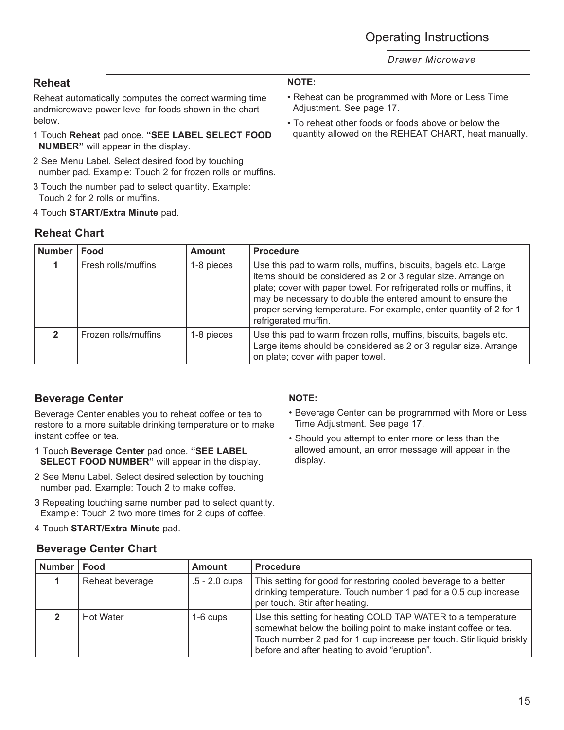## **Reheat**

Reheat automatically computes the correct warming time andmicrowave power level for foods shown in the chart below.

- 1 Touch **Reheat** pad once. **"SEE LABEL SELECT FOOD NUMBER"** will appear in the display.
- 2 See Menu Label. Select desired food by touching number pad. Example: Touch 2 for frozen rolls or muffins.
- 3 Touch the number pad to select quantity. Example: Touch 2 for 2 rolls or muffins.
- 4 Touch **START/Extra Minute** pad.

## **Reheat Chart**

### **Number Food Amount Procedure 1** Fresh rolls/muffins 1-8 pieces Use this pad to warm rolls, muffins, biscuits, bagels etc. Large items should be considered as 2 or 3 regular size. Arrange on plate; cover with paper towel. For refrigerated rolls or muffins, it may be necessary to double the entered amount to ensure the proper serving temperature. For example, enter quantity of 2 for 1 refrigerated muffin. **2** Frozen rolls/muffins 1-8 pieces Use this pad to warm frozen rolls, muffins, biscuits, bagels etc. Large items should be considered as 2 or 3 regular size. Arrange

## **Beverage Center**

Beverage Center enables you to reheat coffee or tea to restore to a more suitable drinking temperature or to make instant coffee or tea.

- 1 Touch **Beverage Center** pad once. **"SEE LABEL SELECT FOOD NUMBER"** will appear in the display.
- 2 See Menu Label. Select desired selection by touching number pad. Example: Touch 2 to make coffee.
- 3 Repeating touching same number pad to select quantity. Example: Touch 2 two more times for 2 cups of coffee.
- 4 Touch **START/Extra Minute** pad.

## **Beverage Center Chart**

### **NOTE:**

on plate; cover with paper towel.

- Beverage Center can be programmed with More or Less Time Adjustment. See page 17.
- Should you attempt to enter more or less than the allowed amount, an error message will appear in the display.

| <b>Number</b> | Food             | <b>Amount</b>   | <b>Procedure</b>                                                                                                                                                                                                                                         |
|---------------|------------------|-----------------|----------------------------------------------------------------------------------------------------------------------------------------------------------------------------------------------------------------------------------------------------------|
|               | Reheat beverage  | $.5 - 2.0$ cups | This setting for good for restoring cooled beverage to a better<br>drinking temperature. Touch number 1 pad for a 0.5 cup increase<br>per touch. Stir after heating.                                                                                     |
|               | <b>Hot Water</b> | $1-6$ cups      | Use this setting for heating COLD TAP WATER to a temperature<br>somewhat below the boiling point to make instant coffee or tea.<br>Touch number 2 pad for 1 cup increase per touch. Stir liquid briskly<br>before and after heating to avoid "eruption". |

### **NOTE:**

- Reheat can be programmed with More or Less Time Adjustment. See page 17.
- To reheat other foods or foods above or below the quantity allowed on the REHEAT CHART, heat manually.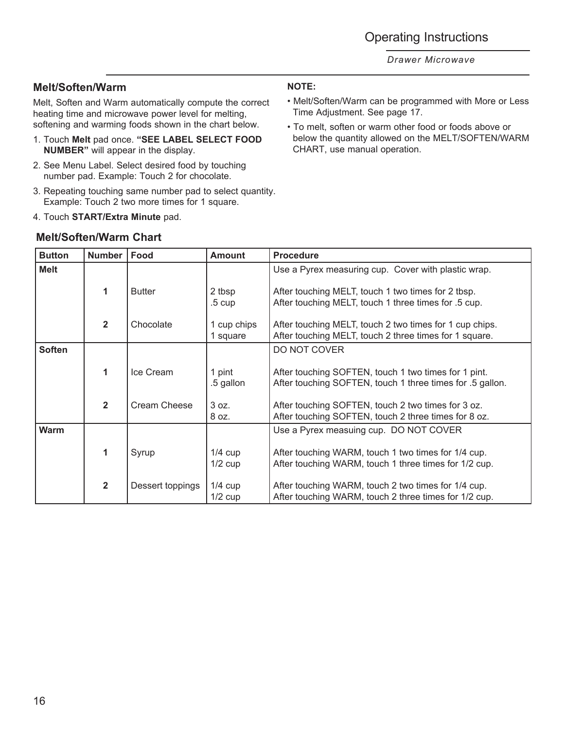## **Melt/Soften/Warm**

Melt, Soften and Warm automatically compute the correct heating time and microwave power level for melting, softening and warming foods shown in the chart below.

- 1. Touch **Melt** pad once. **"SEE LABEL SELECT FOOD NUMBER"** will appear in the display.
- 2. See Menu Label. Select desired food by touching number pad. Example: Touch 2 for chocolate.
- 3. Repeating touching same number pad to select quantity. Example: Touch 2 two more times for 1 square.
- 4. Touch **START/Extra Minute** pad.

### **Melt/Soften/Warm Chart**

### **NOTE:**

- Melt/Soften/Warm can be programmed with More or Less Time Adjustment. See page 17.
- To melt, soften or warm other food or foods above or below the quantity allowed on the MELT/SOFTEN/WARM CHART, use manual operation.

| <b>Button</b> | <b>Number</b>           | Food             | <b>Amount</b>           | <b>Procedure</b>                                                                                                  |
|---------------|-------------------------|------------------|-------------------------|-------------------------------------------------------------------------------------------------------------------|
| Melt          |                         |                  |                         | Use a Pyrex measuring cup. Cover with plastic wrap.                                                               |
|               | 1                       | <b>Butter</b>    | 2 tbsp<br>$.5 \;$ cup   | After touching MELT, touch 1 two times for 2 tbsp.<br>After touching MELT, touch 1 three times for .5 cup.        |
|               | $\overline{2}$          | Chocolate        | 1 cup chips<br>1 square | After touching MELT, touch 2 two times for 1 cup chips.<br>After touching MELT, touch 2 three times for 1 square. |
| <b>Soften</b> |                         |                  |                         | DO NOT COVER                                                                                                      |
|               | 1                       | Ice Cream        | 1 pint<br>.5 gallon     | After touching SOFTEN, touch 1 two times for 1 pint.<br>After touching SOFTEN, touch 1 three times for .5 gallon. |
|               | $\overline{2}$          | Cream Cheese     | 3 oz.<br>8 oz.          | After touching SOFTEN, touch 2 two times for 3 oz.<br>After touching SOFTEN, touch 2 three times for 8 oz.        |
| Warm          |                         |                  |                         | Use a Pyrex measuing cup. DO NOT COVER                                                                            |
|               | 1                       | Syrup            | $1/4$ cup<br>$1/2$ cup  | After touching WARM, touch 1 two times for 1/4 cup.<br>After touching WARM, touch 1 three times for 1/2 cup.      |
|               | $\overline{\mathbf{2}}$ | Dessert toppings | $1/4$ cup<br>$1/2$ cup  | After touching WARM, touch 2 two times for 1/4 cup.<br>After touching WARM, touch 2 three times for 1/2 cup.      |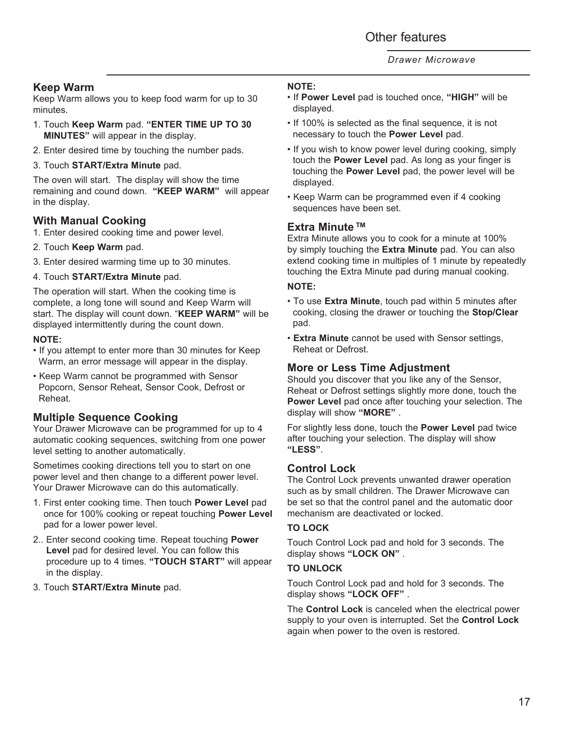## **Keep Warm**

Keep Warm allows you to keep food warm for up to 30 minutes.

- 1. Touch **Keep Warm** pad. **"ENTER TIME UP TO 30 MINUTES"** will appear in the display.
- 2. Enter desired time by touching the number pads.
- 3. Touch **START/Extra Minute** pad.

The oven will start. The display will show the time remaining and cound down. **"KEEP WARM"** will appear in the display.

### **With Manual Cooking**

- 1. Enter desired cooking time and power level.
- 2. Touch **Keep Warm** pad.
- 3. Enter desired warming time up to 30 minutes.
- 4. Touch **START/Extra Minute** pad.

The operation will start. When the cooking time is complete, a long tone will sound and Keep Warm will start. The display will count down. "**KEEP WARM"** will be displayed intermittently during the count down.

### **NOTE:**

- If you attempt to enter more than 30 minutes for Keep Warm, an error message will appear in the display.
- Keep Warm cannot be programmed with Sensor Popcorn, Sensor Reheat, Sensor Cook, Defrost or Reheat.

### **Multiple Sequence Cooking**

Your Drawer Microwave can be programmed for up to 4 automatic cooking sequences, switching from one power level setting to another automatically.

Sometimes cooking directions tell you to start on one power level and then change to a different power level. Your Drawer Microwave can do this automatically.

- 1. First enter cooking time. Then touch **Power Level** pad once for 100% cooking or repeat touching **Power Level** pad for a lower power level.
- 2.. Enter second cooking time. Repeat touching **Power Level** pad for desired level. You can follow this procedure up to 4 times. **"TOUCH START"** will appear in the display.
- 3. Touch **START/Extra Minute** pad.

### **NOTE:**

- If **Power Level** pad is touched once, **"HIGH"** will be displayed.
- If 100% is selected as the final sequence, it is not necessary to touch the **Power Level** pad.
- If you wish to know power level during cooking, simply touch the **Power Level** pad. As long as your finger is touching the **Power Level** pad, the power level will be displayed.
- Keep Warm can be programmed even if 4 cooking sequences have been set.

### **Extra Minute TM**

Extra Minute allows you to cook for a minute at 100% by simply touching the **Extra Minute** pad. You can also extend cooking time in multiples of 1 minute by repeatedly touching the Extra Minute pad during manual cooking.

#### **NOTE:**

- To use **Extra Minute**, touch pad within 5 minutes after cooking, closing the drawer or touching the **Stop/Clear** pad.
- **Extra Minute** cannot be used with Sensor settings, Reheat or Defrost.

### **More or Less Time Adjustment**

Should you discover that you like any of the Sensor, Reheat or Defrost settings slightly more done, touch the **Power Level** pad once after touching your selection. The display will show **"MORE"** .

For slightly less done, touch the **Power Level** pad twice after touching your selection. The display will show **"LESS"**.

### **Control Lock**

The Control Lock prevents unwanted drawer operation such as by small children. The Drawer Microwave can be set so that the control panel and the automatic door mechanism are deactivated or locked.

### **TO LOCK**

Touch Control Lock pad and hold for 3 seconds. The display shows **"LOCK ON"** .

### **TO UNLOCK**

Touch Control Lock pad and hold for 3 seconds. The display shows **"LOCK OFF"** .

The **Control Lock** is canceled when the electrical power supply to your oven is interrupted. Set the **Control Lock** again when power to the oven is restored.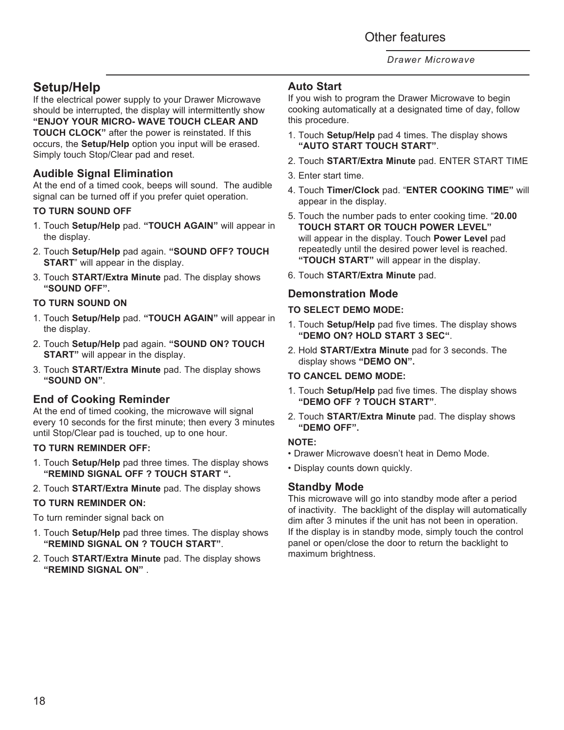## **Setup/Help**

If the electrical power supply to your Drawer Microwave should be interrupted, the display will intermittently show **"ENJOY YOUR MICRO- WAVE TOUCH CLEAR AND TOUCH CLOCK"** after the power is reinstated. If this occurs, the **Setup/Help** option you input will be erased. Simply touch Stop/Clear pad and reset.

## **Audible Signal Elimination**

At the end of a timed cook, beeps will sound. The audible signal can be turned off if you prefer quiet operation.

### **TO TURN SOUND OFF**

- 1. Touch **Setup/Help** pad. **"TOUCH AGAIN"** will appear in the display.
- 2. Touch **Setup/Help** pad again. **"SOUND OFF? TOUCH START**" will appear in the display.
- 3. Touch **START/Extra Minute** pad. The display shows **"SOUND OFF".**

### **TO TURN SOUND ON**

- 1. Touch **Setup/Help** pad. **"TOUCH AGAIN"** will appear in the display.
- 2. Touch **Setup/Help** pad again. **"SOUND ON? TOUCH START"** will appear in the display.
- 3. Touch **START/Extra Minute** pad. The display shows **"SOUND ON"**.

### **End of Cooking Reminder**

At the end of timed cooking, the microwave will signal every 10 seconds for the first minute; then every 3 minutes until Stop/Clear pad is touched, up to one hour.

### **TO TURN REMINDER OFF:**

- 1. Touch **Setup/Help** pad three times. The display shows **"REMIND SIGNAL OFF ? TOUCH START ".**
- 2. Touch **START/Extra Minute** pad. The display shows

### **TO TURN REMINDER ON:**

To turn reminder signal back on

- 1. Touch **Setup/Help** pad three times. The display shows **"REMIND SIGNAL ON ? TOUCH START"**.
- 2. Touch **START/Extra Minute** pad. The display shows **"REMIND SIGNAL ON"** .

### **Auto Start**

If you wish to program the Drawer Microwave to begin cooking automatically at a designated time of day, follow this procedure.

- 1. Touch **Setup/Help** pad 4 times. The display shows **"AUTO START TOUCH START"**.
- 2. Touch **START/Extra Minute** pad. ENTER START TIME
- 3. Enter start time.
- 4. Touch **Timer/Clock** pad. "**ENTER COOKING TIME"** will appear in the display.
- 5. Touch the number pads to enter cooking time. "**20.00 TOUCH START OR TOUCH POWER LEVEL"**  will appear in the display. Touch **Power Level** pad repeatedly until the desired power level is reached. **"TOUCH START"** will appear in the display.
- 6. Touch **START/Extra Minute** pad.

## **Demonstration Mode**

### **TO SELECT DEMO MODE:**

- 1. Touch **Setup/Help** pad five times. The display shows **"DEMO ON? HOLD START 3 SEC"**.
- 2. Hold **START/Extra Minute** pad for 3 seconds. The display shows **"DEMO ON".**

### **TO CANCEL DEMO MODE:**

- 1. Touch **Setup/Help** pad five times. The display shows **"DEMO OFF ? TOUCH START"**.
- 2. Touch **START/Extra Minute** pad. The display shows **"DEMO OFF".**

### **NOTE:**

- Drawer Microwave doesn't heat in Demo Mode.
- Display counts down quickly.

### **Standby Mode**

This microwave will go into standby mode after a period of inactivity. The backlight of the display will automatically dim after 3 minutes if the unit has not been in operation. If the display is in standby mode, simply touch the control panel or open/close the door to return the backlight to maximum brightness.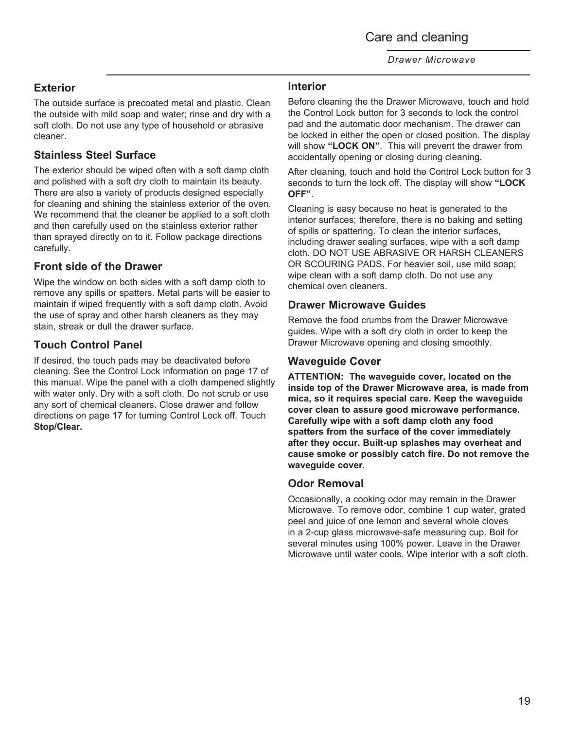Care and cleaning

*Drawer Microwave*

## **Exterior**

The outside surface is precoated metal and plastic. Clean the outside with mild soap and water; rinse and dry with a soft cloth. Do not use any type of household or abrasive cleaner.

## **Stainless Steel Surface**

The exterior should be wiped often with a soft damp cloth and polished with a soft dry cloth to maintain its beauty. There are also a variety of products designed especially for cleaning and shining the stainless exterior of the oven. We recommend that the cleaner be applied to a soft cloth and then carefully used on the stainless exterior rather than sprayed directly on to it. Follow package directions carefully.

## **Front side of the Drawer**

Wipe the window on both sides with a soft damp cloth to remove any spills or spatters. Metal parts will be easier to maintain if wiped frequently with a soft damp cloth. Avoid the use of spray and other harsh cleaners as they may stain, streak or dull the drawer surface.

## **Touch Control Panel**

If desired, the touch pads may be deactivated before cleaning. See the Control Lock information on page 17 of this manual. Wipe the panel with a cloth dampened slightly with water only. Dry with a soft cloth. Do not scrub or use any sort of chemical cleaners. Close drawer and follow directions on page 17 for turning Control Lock off. Touch **Stop/Clear.**

### **Interior**

Before cleaning the the Drawer Microwave, touch and hold the Control Lock button for 3 seconds to lock the control pad and the automatic door mechanism. The drawer can be locked in either the open or closed position. The display will show **"LOCK ON"**. This will prevent the drawer from accidentally opening or closing during cleaning.

After cleaning, touch and hold the Control Lock button for 3 seconds to turn the lock off. The display will show **"LOCK OFF"**.

Cleaning is easy because no heat is generated to the interior surfaces; therefore, there is no baking and setting of spills or spattering. To clean the interior surfaces, including drawer sealing surfaces, wipe with a soft damp cloth. DO NOT USE ABRASIVE OR HARSH CLEANERS OR SCOURING PADS. For heavier soil, use mild soap; wipe clean with a soft damp cloth. Do not use any chemical oven cleaners.

### **Drawer Microwave Guides**

Remove the food crumbs from the Drawer Microwave guides. Wipe with a soft dry cloth in order to keep the Drawer Microwave opening and closing smoothly.

## **Waveguide Cover**

**ATTENTION: The waveguide cover, located on the inside top of the Drawer Microwave area, is made from mica, so it requires special care. Keep the waveguide cover clean to assure good microwave performance. Carefully wipe with a soft damp cloth any food spatters from the surface of the cover immediately after they occur. Built-up splashes may overheat and cause smoke or possibly catch fire. Do not remove the waveguide cover**.

### **Odor Removal**

Occasionally, a cooking odor may remain in the Drawer Microwave. To remove odor, combine 1 cup water, grated peel and juice of one lemon and several whole cloves in a 2-cup glass microwave-safe measuring cup. Boil for several minutes using 100% power. Leave in the Drawer Microwave until water cools. Wipe interior with a soft cloth.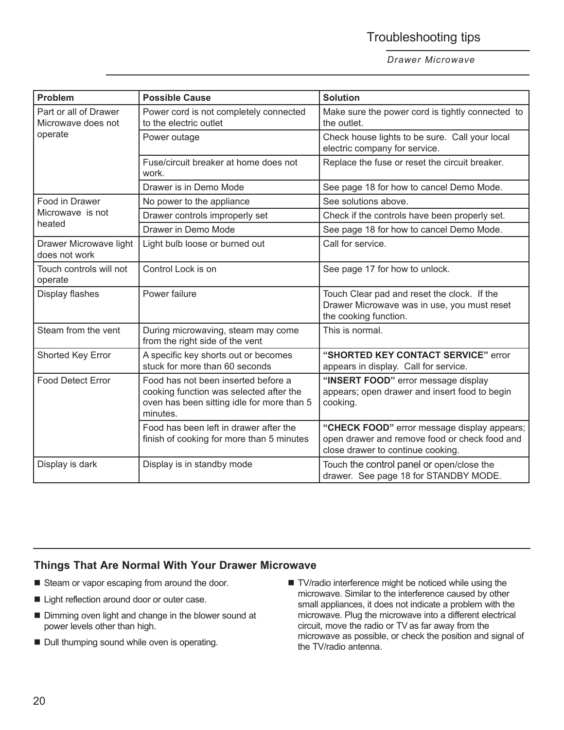## Troubleshooting tips

#### *Drawer Microwave*

| <b>Problem</b>                              | <b>Possible Cause</b>                                                                                                                    | <b>Solution</b>                                                                                                                   |
|---------------------------------------------|------------------------------------------------------------------------------------------------------------------------------------------|-----------------------------------------------------------------------------------------------------------------------------------|
| Part or all of Drawer<br>Microwave does not | Power cord is not completely connected<br>to the electric outlet                                                                         | Make sure the power cord is tightly connected to<br>the outlet.                                                                   |
| operate                                     | Power outage                                                                                                                             | Check house lights to be sure. Call your local<br>electric company for service.                                                   |
|                                             | Fuse/circuit breaker at home does not<br>work.                                                                                           | Replace the fuse or reset the circuit breaker.                                                                                    |
|                                             | Drawer is in Demo Mode                                                                                                                   | See page 18 for how to cancel Demo Mode.                                                                                          |
| Food in Drawer                              | No power to the appliance                                                                                                                | See solutions above.                                                                                                              |
| Microwave is not                            | Drawer controls improperly set                                                                                                           | Check if the controls have been properly set.                                                                                     |
| heated                                      | Drawer in Demo Mode                                                                                                                      | See page 18 for how to cancel Demo Mode.                                                                                          |
| Drawer Microwave light<br>does not work     | Light bulb loose or burned out                                                                                                           | Call for service.                                                                                                                 |
| Touch controls will not<br>operate          | Control Lock is on                                                                                                                       | See page 17 for how to unlock.                                                                                                    |
| Display flashes                             | Power failure                                                                                                                            | Touch Clear pad and reset the clock. If the<br>Drawer Microwave was in use, you must reset<br>the cooking function.               |
| Steam from the vent                         | During microwaving, steam may come<br>from the right side of the vent                                                                    | This is normal.                                                                                                                   |
| Shorted Key Error                           | A specific key shorts out or becomes<br>stuck for more than 60 seconds                                                                   | "SHORTED KEY CONTACT SERVICE" error<br>appears in display. Call for service.                                                      |
| <b>Food Detect Error</b>                    | Food has not been inserted before a<br>cooking function was selected after the<br>oven has been sitting idle for more than 5<br>minutes. | "INSERT FOOD" error message display<br>appears; open drawer and insert food to begin<br>cooking.                                  |
|                                             | Food has been left in drawer after the<br>finish of cooking for more than 5 minutes                                                      | "CHECK FOOD" error message display appears;<br>open drawer and remove food or check food and<br>close drawer to continue cooking. |
| Display is dark                             | Display is in standby mode                                                                                                               | Touch the control panel or open/close the<br>drawer. See page 18 for STANDBY MODE.                                                |

### **Things That Are Normal With Your Drawer Microwave**

- Steam or vapor escaping from around the door.
- Light reflection around door or outer case.
- Dimming oven light and change in the blower sound at power levels other than high.
- **Dull thumping sound while oven is operating.**
- TV/radio interference might be noticed while using the microwave. Similar to the interference caused by other small appliances, it does not indicate a problem with the microwave. Plug the microwave into a different electrical circuit, move the radio or TV as far away from the microwave as possible, or check the position and signal of the TV/radio antenna.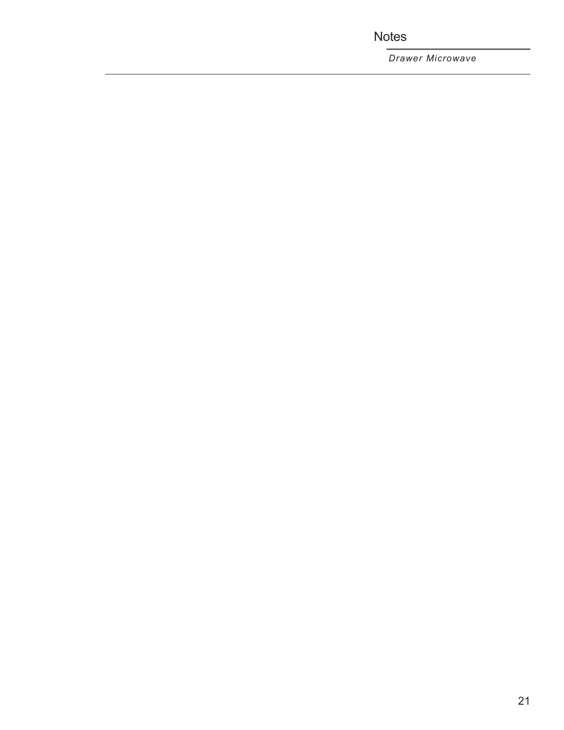**Notes** 

*Drawer Microwave*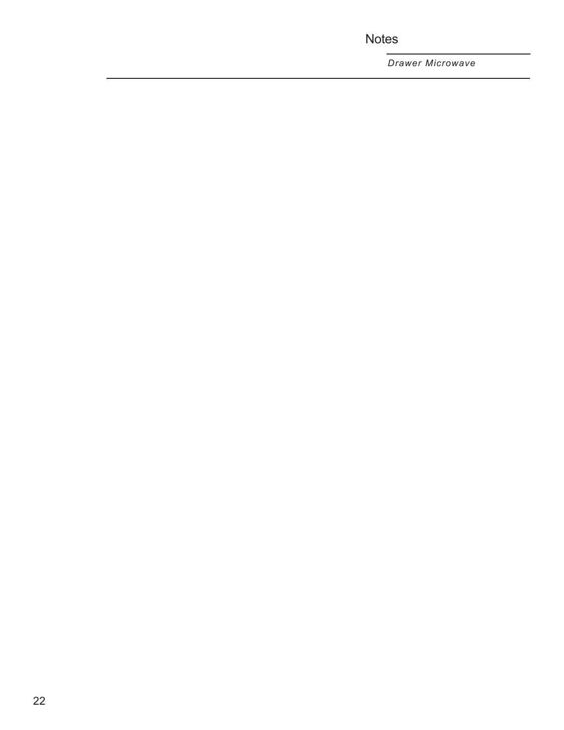Notes

*Drawer Microwave*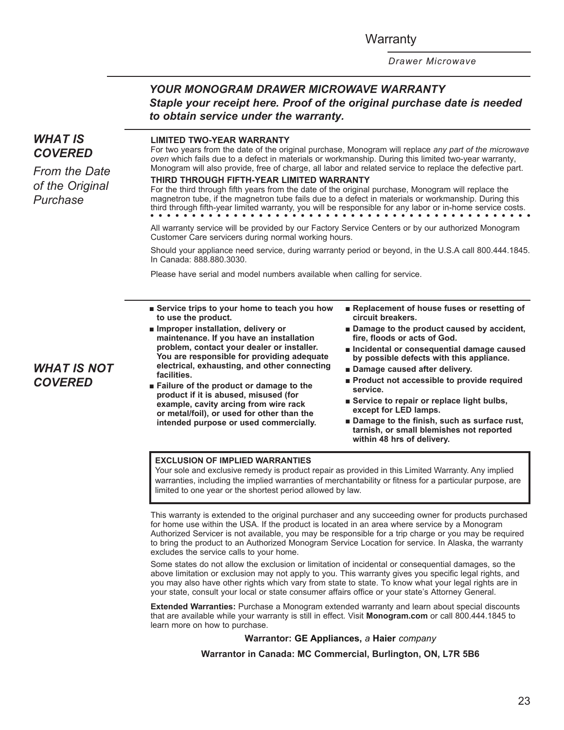**Warranty** 

*Drawer Microwave*

## *YOUR MONOGRAM DRAWER MICROWAVE WARRANTY Staple your receipt here. Proof of the original purchase date is needed to obtain service under the warranty.*

## *WHAT IS COVERED*

*From the Date of the Original Purchase*

#### **LIMITED TWO-YEAR WARRANTY**

For two years from the date of the original purchase, Monogram will replace *any part of the microwave oven* which fails due to a defect in materials or workmanship. During this limited two-year warranty, Monogram will also provide, free of charge, all labor and related service to replace the defective part.

#### **THIRD THROUGH FIFTH-YEAR LIMITED WARRANTY**

For the third through fifth years from the date of the original purchase, Monogram will replace the magnetron tube, if the magnetron tube fails due to a defect in materials or workmanship. During this third through fifth-year limited warranty, you will be responsible for any labor or in-home service costs.

All warranty service will be provided by our Factory Service Centers or by our authorized Monogram Customer Care servicers during normal working hours.

Should your appliance need service, during warranty period or beyond, in the U.S.A call 800.444.1845. In Canada: 888.880.3030.

Please have serial and model numbers available when calling for service.

- **B** Service trips to your home to teach you how **to use the product.**
- **I** Improper installation, delivery or **maintenance. If you have an installation problem, contact your dealer or installer. You are responsible for providing adequate electrical, exhausting, and other connecting facilities.**
- **Failure of the product or damage to the product if it is abused, misused (for example, cavity arcing from wire rack or metal/foil), or used for other than the intended purpose or used commercially.**
- **Replacement of house fuses or resetting of circuit breakers.**
- $\blacksquare$  Damage to the product caused by accident, **fire, floods or acts of God.**
- **n** Incidental or consequential damage caused **by possible defects with this appliance.**
- **Damage caused after delivery.**
- **Product not accessible to provide required service.**
- $\blacksquare$  Service to repair or replace light bulbs, **except for LED lamps.**
- $\blacksquare$  Damage to the finish, such as surface rust, **tarnish, or small blemishes not reported within 48 hrs of delivery.**

#### **EXCLUSION OF IMPLIED WARRANTIES**

Your sole and exclusive remedy is product repair as provided in this Limited Warranty. Any implied warranties, including the implied warranties of merchantability or fitness for a particular purpose, are limited to one year or the shortest period allowed by law.

This warranty is extended to the original purchaser and any succeeding owner for products purchased for home use within the USA. If the product is located in an area where service by a Monogram Authorized Servicer is not available, you may be responsible for a trip charge or you may be required to bring the product to an Authorized Monogram Service Location for service. In Alaska, the warranty excludes the service calls to your home.

Some states do not allow the exclusion or limitation of incidental or consequential damages, so the above limitation or exclusion may not apply to you. This warranty gives you specific legal rights, and you may also have other rights which vary from state to state. To know what your legal rights are in your state, consult your local or state consumer affairs office or your state's Attorney General.

**Extended Warranties:** Purchase a Monogram extended warranty and learn about special discounts that are available while your warranty is still in effect. Visit **Monogram.com** or call 800.444.1845 to learn more on how to purchase.

**Warrantor: GE Appliances,** *a* **Haier** *company*

**Warrantor in Canada: MC Commercial, Burlington, ON, L7R 5B6**

### *WHAT IS NOT COVERED*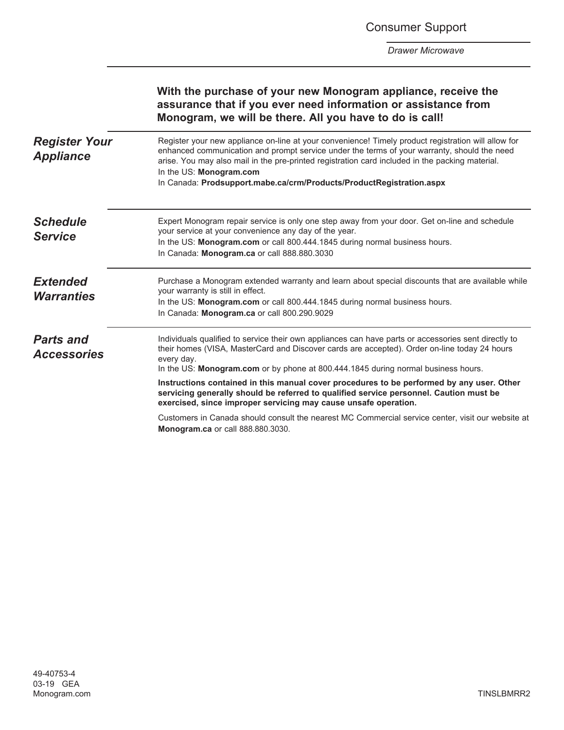Consumer Support

*Drawer Microwave*

|                                          | With the purchase of your new Monogram appliance, receive the<br>assurance that if you ever need information or assistance from<br>Monogram, we will be there. All you have to do is call!                                                                                                                                                                                                               |
|------------------------------------------|----------------------------------------------------------------------------------------------------------------------------------------------------------------------------------------------------------------------------------------------------------------------------------------------------------------------------------------------------------------------------------------------------------|
| <b>Register Your</b><br><b>Appliance</b> | Register your new appliance on-line at your convenience! Timely product registration will allow for<br>enhanced communication and prompt service under the terms of your warranty, should the need<br>arise. You may also mail in the pre-printed registration card included in the packing material.<br>In the US: Monogram.com<br>In Canada: Prodsupport.mabe.ca/crm/Products/ProductRegistration.aspx |
| <b>Schedule</b><br><b>Service</b>        | Expert Monogram repair service is only one step away from your door. Get on-line and schedule<br>your service at your convenience any day of the year.<br>In the US: Monogram.com or call 800.444.1845 during normal business hours.<br>In Canada: Monogram.ca or call 888.880.3030                                                                                                                      |
| <b>Extended</b><br><b>Warranties</b>     | Purchase a Monogram extended warranty and learn about special discounts that are available while<br>your warranty is still in effect.<br>In the US: Monogram.com or call 800.444.1845 during normal business hours.<br>In Canada: Monogram.ca or call 800.290.9029                                                                                                                                       |
| <b>Parts and</b><br><b>Accessories</b>   | Individuals qualified to service their own appliances can have parts or accessories sent directly to<br>their homes (VISA, MasterCard and Discover cards are accepted). Order on-line today 24 hours<br>every day.<br>In the US: Monogram.com or by phone at 800.444.1845 during normal business hours.                                                                                                  |
|                                          | Instructions contained in this manual cover procedures to be performed by any user. Other<br>servicing generally should be referred to qualified service personnel. Caution must be<br>exercised, since improper servicing may cause unsafe operation.                                                                                                                                                   |
|                                          | Customers in Canada should consult the nearest MC Commercial service center, visit our website at<br>Monogram.ca or call 888.880.3030.                                                                                                                                                                                                                                                                   |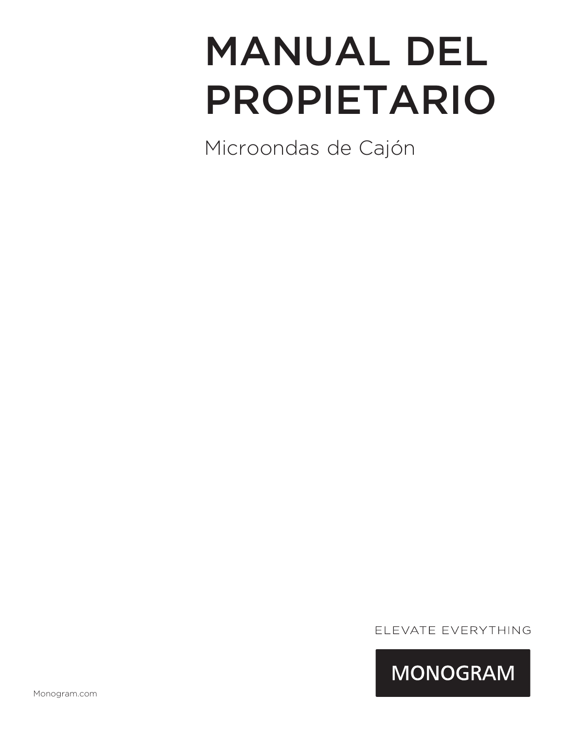# MANUAL DEL PROPIETARIO

Microondas de Cajón

ELEVATE EVERYTHING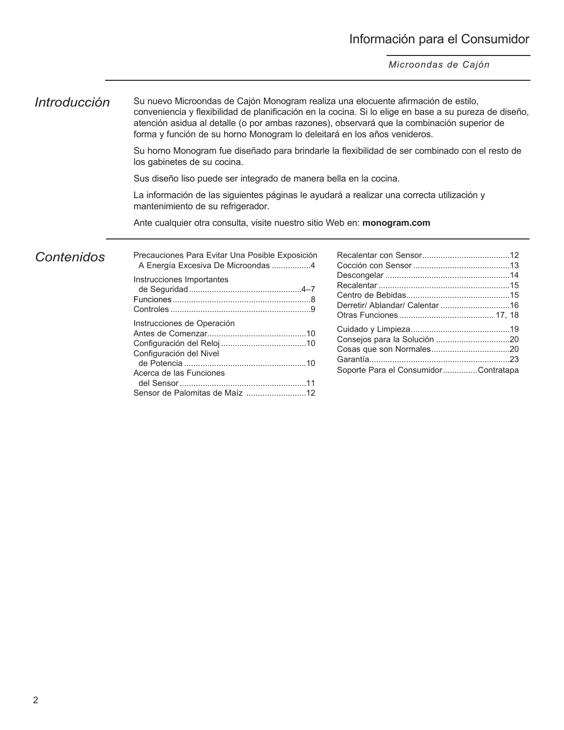## *Introducción* Su nuevo Microondas de Cajón Monogram realiza una elocuente afirmación de estilo, conveniencia y flexibilidad de planificación en la cocina. Si lo elige en base a su pureza de diseño,

atención asidua al detalle (o por ambas razones), observará que la combinación superior de forma y función de su horno Monogram lo deleitará en los años venideros.

Su horno Monogram fue diseñado para brindarle la flexibilidad de ser combinado con el resto de los gabinetes de su cocina.

Sus diseño liso puede ser integrado de manera bella en la cocina.

La información de las siguientes páginas le ayudará a realizar una correcta utilización y mantenimiento de su refrigerador.

Ante cualquier otra consulta, visite nuestro sitio Web en: **monogram.com**

## *Contenidos*

| Precauciones Para Evitar Una Posible Exposición<br>A Energía Excesiva De Microondas 4 |                                      |  |
|---------------------------------------------------------------------------------------|--------------------------------------|--|
| Instrucciones Importantes                                                             |                                      |  |
| Instrucciones de Operación<br>Configuración del Nivel<br>Acerca de las Funciones      | Soporte Para el ConsumidorContratapa |  |
|                                                                                       |                                      |  |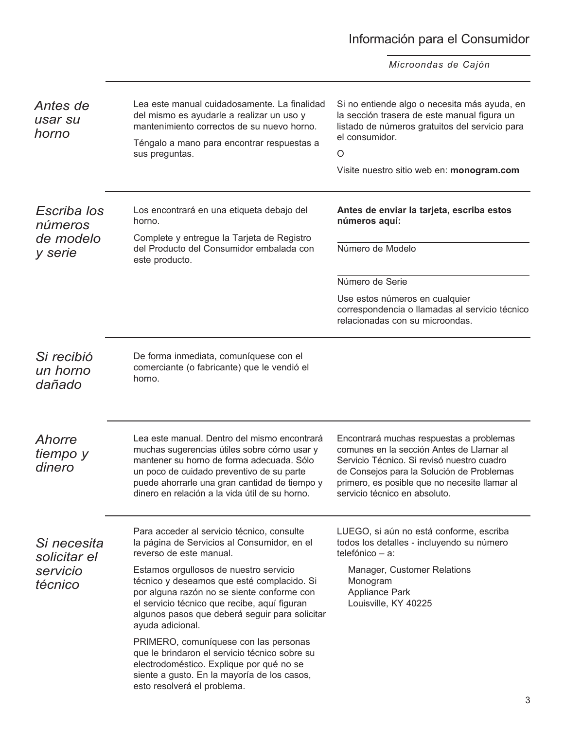## Información para el Consumidor

*Microondas de Cajón*

| Antes de<br>usar su<br>horno                   | Lea este manual cuidadosamente. La finalidad<br>del mismo es ayudarle a realizar un uso y<br>mantenimiento correctos de su nuevo horno.<br>Téngalo a mano para encontrar respuestas a<br>sus preguntas.                                                                                  | Si no entiende algo o necesita más ayuda, en<br>la sección trasera de este manual figura un<br>listado de números gratuitos del servicio para<br>el consumidor.<br>$\circ$<br>Visite nuestro sitio web en: monogram.com                                           |
|------------------------------------------------|------------------------------------------------------------------------------------------------------------------------------------------------------------------------------------------------------------------------------------------------------------------------------------------|-------------------------------------------------------------------------------------------------------------------------------------------------------------------------------------------------------------------------------------------------------------------|
| Escriba los<br>números<br>de modelo<br>y serie | Los encontrará en una etiqueta debajo del<br>horno.<br>Complete y entregue la Tarjeta de Registro<br>del Producto del Consumidor embalada con<br>este producto.                                                                                                                          | Antes de enviar la tarjeta, escriba estos<br>números aquí:<br>Número de Modelo                                                                                                                                                                                    |
|                                                |                                                                                                                                                                                                                                                                                          | Número de Serie<br>Use estos números en cualquier<br>correspondencia o llamadas al servicio técnico<br>relacionadas con su microondas.                                                                                                                            |
| Si recibió<br>un horno<br>dañado               | De forma inmediata, comuníquese con el<br>comerciante (o fabricante) que le vendió el<br>horno.                                                                                                                                                                                          |                                                                                                                                                                                                                                                                   |
| Ahorre<br>tiempo y<br>dinero                   | Lea este manual. Dentro del mismo encontrará<br>muchas sugerencias útiles sobre cómo usar y<br>mantener su horno de forma adecuada. Sólo<br>un poco de cuidado preventivo de su parte<br>puede ahorrarle una gran cantidad de tiempo y<br>dinero en relación a la vida útil de su horno. | Encontrará muchas respuestas a problemas<br>comunes en la sección Antes de Llamar al<br>Servicio Técnico. Si revisó nuestro cuadro<br>de Consejos para la Solución de Problemas<br>primero, es posible que no necesite llamar al<br>servicio técnico en absoluto. |
| Si necesita<br>solicitar el                    | Para acceder al servicio técnico, consulte<br>la página de Servicios al Consumidor, en el<br>reverso de este manual.                                                                                                                                                                     | LUEGO, si aún no está conforme, escriba<br>todos los detalles - incluyendo su número<br>telefónico - a:                                                                                                                                                           |
| servicio<br>técnico                            | Estamos orgullosos de nuestro servicio<br>técnico y deseamos que esté complacido. Si<br>por alguna razón no se siente conforme con<br>el servicio técnico que recibe, aquí figuran<br>algunos pasos que deberá seguir para solicitar<br>ayuda adicional.                                 | Manager, Customer Relations<br>Monogram<br><b>Appliance Park</b><br>Louisville, KY 40225                                                                                                                                                                          |
|                                                | PRIMERO, comuníquese con las personas<br>que le brindaron el servicio técnico sobre su<br>electrodoméstico. Explique por qué no se<br>siente a gusto. En la mayoría de los casos,<br>esto resolverá el problema.                                                                         |                                                                                                                                                                                                                                                                   |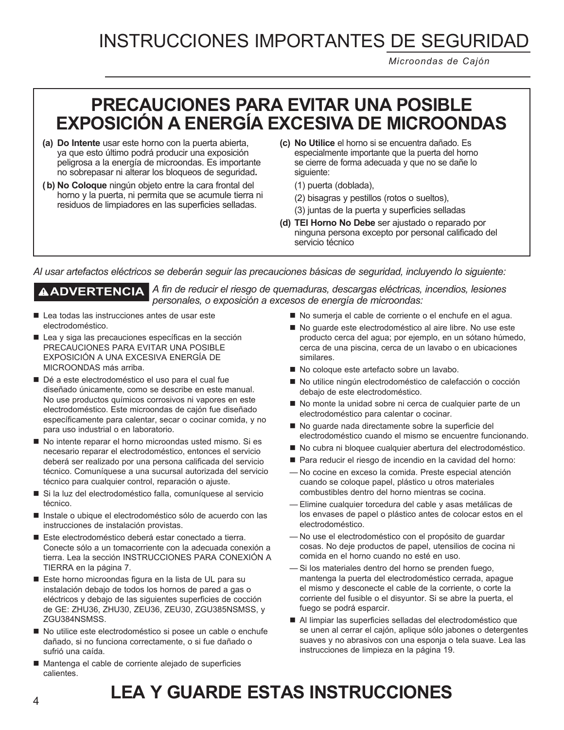*Microondas de Cajón*

## **PRECAUCIONES PARA EVITAR UNA POSIBLE EXPOSICIÓN A ENERGÍA EXCESIVA DE MICROONDAS**

- **(a) Do Intente** usar este horno con la puerta abierta, ya que esto último podrá producir una exposición peligrosa a la energía de microondas. Es importante no sobrepasar ni alterar los bloqueos de seguridad**.**
- **(b) No Coloque** ningún objeto entre la cara frontal del horno y la puerta, ni permita que se acumule tierra ni residuos de limpiadores en las superficies selladas.
- **(c) No Utilice** el horno si se encuentra dañado. Es especialmente importante que la puerta del horno se cierre de forma adecuada y que no se dañe lo siguiente:
	- (1) puerta (doblada),
	- (2) bisagras y pestillos (rotos o sueltos),
	- (3) juntas de la puerta y superficies selladas
- **(d) TEl Horno No Debe** ser ajustado o reparado por ninguna persona excepto por personal calificado del servicio técnico

*Al usar artefactos eléctricos se deberán seguir las precauciones básicas de seguridad, incluyendo lo siguiente:*

**ADVERTENCIA** *A fin de reducir el riesgo de quemaduras, descargas eléctricas, incendios, lesiones personales, o exposición a excesos de energía de microondas:*

- Lea todas las instrucciones antes de usar este electrodoméstico.
- Lea y siga las precauciones específicas en la sección PRECAUCIONES PARA EVITAR UNA POSIBLE EXPOSICIÓN A UNA EXCESIVA ENERGÍA DE MICROONDAS más arriba.
- Dé a este electrodoméstico el uso para el cual fue diseñado únicamente, como se describe en este manual. No use productos químicos corrosivos ni vapores en este electrodoméstico. Este microondas de cajón fue diseñado específicamente para calentar, secar o cocinar comida, y no para uso industrial o en laboratorio.
- No intente reparar el horno microondas usted mismo. Si es necesario reparar el electrodoméstico, entonces el servicio deberá ser realizado por una persona calificada del servicio técnico. Comuníquese a una sucursal autorizada del servicio técnico para cualquier control, reparación o ajuste.
- Si la luz del electrodoméstico falla, comuníquese al servicio técnico.
- Instale o ubique el electrodoméstico sólo de acuerdo con las instrucciones de instalación provistas.
- Este electrodoméstico deberá estar conectado a tierra. Conecte sólo a un tomacorriente con la adecuada conexión a tierra. Lea la sección INSTRUCCIONES PARA CONEXIÓN A TIERRA en la página 7.
- Este horno microondas figura en la lista de UL para su instalación debajo de todos los hornos de pared a gas o eléctricos y debajo de las siguientes superficies de cocción de GE: ZHU36, ZHU30, ZEU36, ZEU30, ZGU385NSMSS, y ZGU384NSMSS.
- No utilice este electrodoméstico si posee un cable o enchufe dañado, si no funciona correctamente, o si fue dañado o sufrió una caída.
- Mantenga el cable de corriente alejado de superficies calientes.
- No sumerja el cable de corriente o el enchufe en el agua.
- No quarde este electrodoméstico al aire libre. No use este producto cerca del agua; por ejemplo, en un sótano húmedo, cerca de una piscina, cerca de un lavabo o en ubicaciones similares.
- No coloque este artefacto sobre un lavabo.
- No utilice ningún electrodoméstico de calefacción o cocción debajo de este electrodoméstico.
- No monte la unidad sobre ni cerca de cualquier parte de un electrodoméstico para calentar o cocinar.
- No quarde nada directamente sobre la superficie del electrodoméstico cuando el mismo se encuentre funcionando.
- No cubra ni bloquee cualquier abertura del electrodoméstico.
- Para reducir el riesgo de incendio en la cavidad del horno:
- No cocine en exceso la comida. Preste especial atención cuando se coloque papel, plástico u otros materiales combustibles dentro del horno mientras se cocina.
- Elimine cualquier torcedura del cable y asas metálicas de los envases de papel o plástico antes de colocar estos en el electrodoméstico.
- No use el electrodoméstico con el propósito de guardar cosas. No deje productos de papel, utensilios de cocina ni comida en el horno cuando no esté en uso.
- Si los materiales dentro del horno se prenden fuego, mantenga la puerta del electrodoméstico cerrada, apague el mismo y desconecte el cable de la corriente, o corte la corriente del fusible o el disyuntor. Si se abre la puerta, el fuego se podrá esparcir.
- Al limpiar las superficies selladas del electrodoméstico que se unen al cerrar el cajón, aplique sólo jabones o detergentes suaves y no abrasivos con una esponja o tela suave. Lea las instrucciones de limpieza en la página 19.

# **LEA Y GUARDE ESTAS INSTRUCCIONES**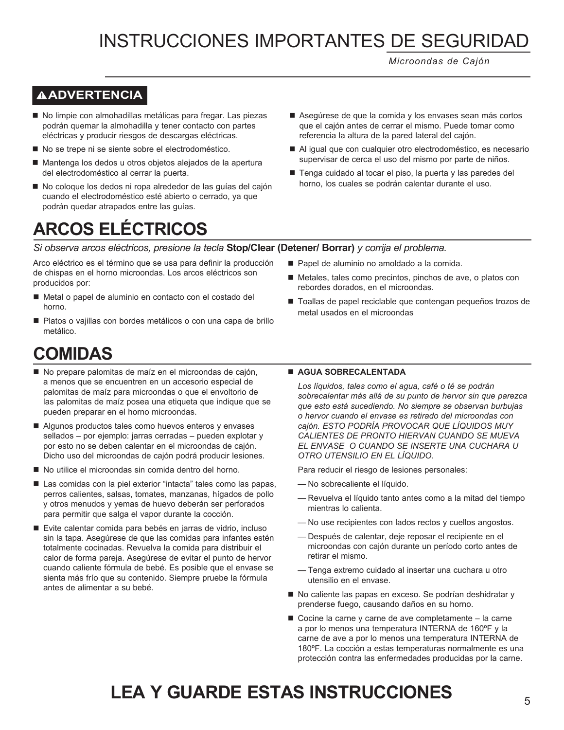*Microondas de Cajón*

## **ADVERTENCIA**

- No limpie con almohadillas metálicas para fregar. Las piezas podrán quemar la almohadilla y tener contacto con partes eléctricas y producir riesgos de descargas eléctricas.
- No se trepe ni se siente sobre el electrodoméstico.
- Mantenga los dedos u otros objetos alejados de la apertura del electrodoméstico al cerrar la puerta.
- No coloque los dedos ni ropa alrededor de las guías del cajón cuando el electrodoméstico esté abierto o cerrado, ya que podrán quedar atrapados entre las guías.

## **ARCOS ELÉCTRICOS**

- Asegúrese de que la comida y los envases sean más cortos que el cajón antes de cerrar el mismo. Puede tomar como referencia la altura de la pared lateral del cajón.
- Al igual que con cualquier otro electrodoméstico, es necesario supervisar de cerca el uso del mismo por parte de niños.
- Tenga cuidado al tocar el piso, la puerta y las paredes del horno, los cuales se podrán calentar durante el uso.

Metales, tales como precintos, pinchos de ave, o platos con

■ Toallas de papel reciclable que contengan pequeños trozos de

Papel de aluminio no amoldado a la comida.

rebordes dorados, en el microondas.

metal usados en el microondas

#### *Si observa arcos eléctricos, presione la tecla* **Stop/Clear (Detener/ Borrar)** *y corrija el problema.*

Arco eléctrico es el término que se usa para definir la producción de chispas en el horno microondas. Los arcos eléctricos son producidos por:

- Metal o papel de aluminio en contacto con el costado del horno.
- Platos o vajillas con bordes metálicos o con una capa de brillo metálico.
	-

## **COMIDAS**

- No prepare palomitas de maíz en el microondas de cajón, a menos que se encuentren en un accesorio especial de palomitas de maíz para microondas o que el envoltorio de las palomitas de maíz posea una etiqueta que indique que se pueden preparar en el horno microondas.
- Algunos productos tales como huevos enteros y envases sellados – por ejemplo: jarras cerradas – pueden explotar y por esto no se deben calentar en el microondas de cajón. Dicho uso del microondas de cajón podrá producir lesiones.
- No utilice el microondas sin comida dentro del horno.
- Las comidas con la piel exterior "intacta" tales como las papas, perros calientes, salsas, tomates, manzanas, hígados de pollo y otros menudos y yemas de huevo deberán ser perforados para permitir que salga el vapor durante la cocción.
- Evite calentar comida para bebés en jarras de vidrio, incluso sin la tapa. Asegúrese de que las comidas para infantes estén totalmente cocinadas. Revuelva la comida para distribuir el calor de forma pareja. Asegúrese de evitar el punto de hervor cuando caliente fórmula de bebé. Es posible que el envase se sienta más frío que su contenido. Siempre pruebe la fórmula antes de alimentar a su bebé.

#### **AGUA SOBRECALENTADA**

*Los líquidos, tales como el agua, café o té se podrán sobrecalentar más allá de su punto de hervor sin que parezca que esto está sucediendo. No siempre se observan burbujas o hervor cuando el envase es retirado del microondas con cajón. ESTO PODRÍA PROVOCAR QUE LÍQUIDOS MUY CALIENTES DE PRONTO HIERVAN CUANDO SE MUEVA EL ENVASE O CUANDO SE INSERTE UNA CUCHARA U OTRO UTENSILIO EN EL LÍQUIDO.*

Para reducir el riesgo de lesiones personales:

- No sobrecaliente el líquido.
- Revuelva el líquido tanto antes como a la mitad del tiempo mientras lo calienta.
- No use recipientes con lados rectos y cuellos angostos.
- Después de calentar, deje reposar el recipiente en el microondas con cajón durante un período corto antes de retirar el mismo.
- Tenga extremo cuidado al insertar una cuchara u otro utensilio en el envase.
- No caliente las papas en exceso. Se podrían deshidratar y prenderse fuego, causando daños en su horno.
- Cocine la carne y carne de ave completamente la carne a por lo menos una temperatura INTERNA de 160ºF y la carne de ave a por lo menos una temperatura INTERNA de 180ºF. La cocción a estas temperaturas normalmente es una protección contra las enfermedades producidas por la carne.

## <sup>5</sup> **LEA Y GUARDE ESTAS INSTRUCCIONES**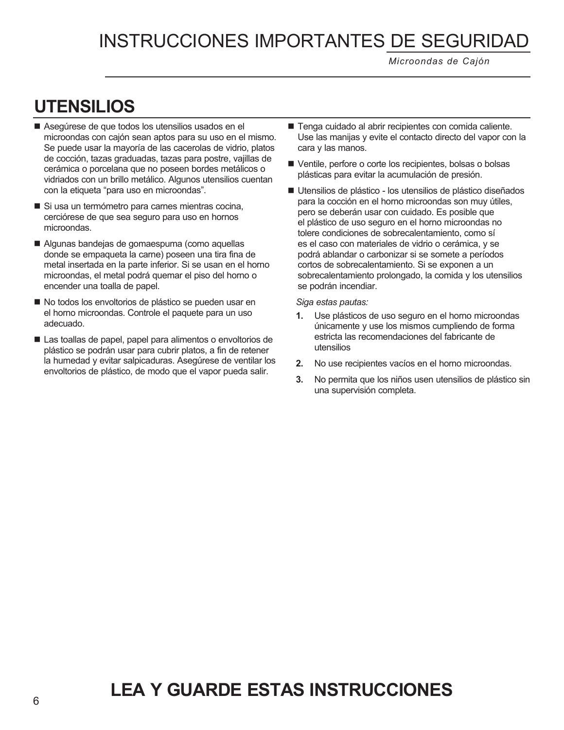*Microondas de Cajón*

## **UTENSILIOS**

- Asegúrese de que todos los utensilios usados en el microondas con cajón sean aptos para su uso en el mismo. Se puede usar la mayoría de las cacerolas de vidrio, platos de cocción, tazas graduadas, tazas para postre, vajillas de cerámica o porcelana que no poseen bordes metálicos o vidriados con un brillo metálico. Algunos utensilios cuentan con la etiqueta "para uso en microondas".
- Si usa un termómetro para carnes mientras cocina, cerciórese de que sea seguro para uso en hornos microondas.
- Algunas bandejas de gomaespuma (como aquellas donde se empaqueta la carne) poseen una tira fina de metal insertada en la parte inferior. Si se usan en el horno microondas, el metal podrá quemar el piso del horno o encender una toalla de papel.
- No todos los envoltorios de plástico se pueden usar en el horno microondas. Controle el paquete para un uso adecuado.
- Las toallas de papel, papel para alimentos o envoltorios de plástico se podrán usar para cubrir platos, a fin de retener la humedad y evitar salpicaduras. Asegúrese de ventilar los envoltorios de plástico, de modo que el vapor pueda salir.
- Tenga cuidado al abrir recipientes con comida caliente. Use las manijas y evite el contacto directo del vapor con la cara y las manos.
- Ventile, perfore o corte los recipientes, bolsas o bolsas plásticas para evitar la acumulación de presión.
- Utensilios de plástico los utensilios de plástico diseñados para la cocción en el horno microondas son muy útiles, pero se deberán usar con cuidado. Es posible que el plástico de uso seguro en el horno microondas no tolere condiciones de sobrecalentamiento, como sí es el caso con materiales de vidrio o cerámica, y se podrá ablandar o carbonizar si se somete a períodos cortos de sobrecalentamiento. Si se exponen a un sobrecalentamiento prolongado, la comida y los utensilios se podrán incendiar.

 *Siga estas pautas:*

- **1.** Use plásticos de uso seguro en el horno microondas únicamente y use los mismos cumpliendo de forma estricta las recomendaciones del fabricante de utensilios
- **2.** No use recipientes vacíos en el horno microondas.
- **3.** No permita que los niños usen utensilios de plástico sin una supervisión completa.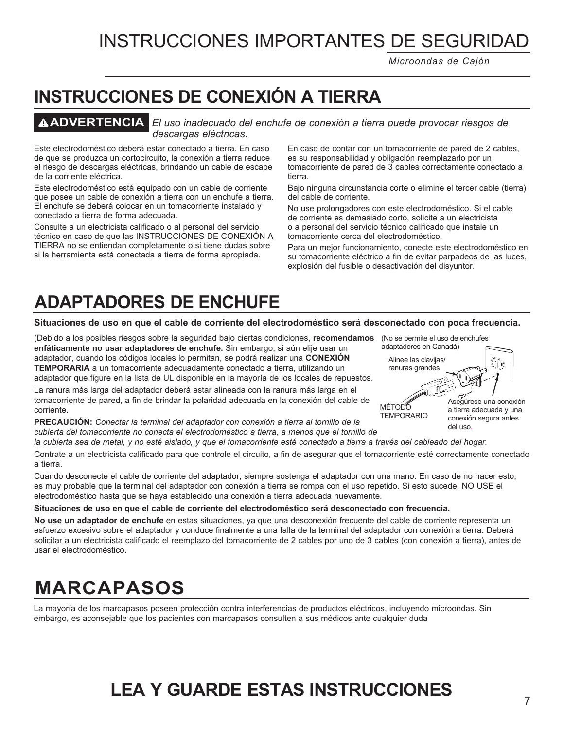*Microondas de Cajón*

## **INSTRUCCIONES DE CONEXIÓN A TIERRA**

**ADVERTENCIA** *El uso inadecuado del enchufe de conexión a tierra puede provocar riesgos de descargas eléctricas.*

Este electrodoméstico deberá estar conectado a tierra. En caso de que se produzca un cortocircuito, la conexión a tierra reduce el riesgo de descargas eléctricas, brindando un cable de escape de la corriente eléctrica.

Este electrodoméstico está equipado con un cable de corriente que posee un cable de conexión a tierra con un enchufe a tierra. El enchufe se deberá colocar en un tomacorriente instalado y conectado a tierra de forma adecuada.

Consulte a un electricista calificado o al personal del servicio técnico en caso de que las INSTRUCCIONES DE CONEXIÓN A TIERRA no se entiendan completamente o si tiene dudas sobre si la herramienta está conectada a tierra de forma apropiada.

En caso de contar con un tomacorriente de pared de 2 cables, es su responsabilidad y obligación reemplazarlo por un tomacorriente de pared de 3 cables correctamente conectado a tierra.

Bajo ninguna circunstancia corte o elimine el tercer cable (tierra) del cable de corriente.

No use prolongadores con este electrodoméstico. Si el cable de corriente es demasiado corto, solicite a un electricista o a personal del servicio técnico calificado que instale un tomacorriente cerca del electrodoméstico.

Para un mejor funcionamiento, conecte este electrodoméstico en su tomacorriente eléctrico a fin de evitar parpadeos de las luces, explosión del fusible o desactivación del disyuntor.

## **ADAPTADORES DE ENCHUFE**

#### **Situaciones de uso en que el cable de corriente del electrodoméstico será desconectado con poca frecuencia.**

(Debido a los posibles riesgos sobre la seguridad bajo ciertas condiciones, **recomendamos enfáticamente no usar adaptadores de enchufe.** Sin embargo, si aún elije usar un adaptador, cuando los códigos locales lo permitan, se podrá realizar una **CONEXIÓN TEMPORARIA** a un tomacorriente adecuadamente conectado a tierra, utilizando un adaptador que figure en la lista de UL disponible en la mayoría de los locales de repuestos.

La ranura más larga del adaptador deberá estar alineada con la ranura más larga en el tomacorriente de pared, a fin de brindar la polaridad adecuada en la conexión del cable de corriente.

**PRECAUCIÓN:** *Conectar la terminal del adaptador con conexión a tierra al tornillo de la cubierta del tomacorriente no conecta el electrodoméstico a tierra, a menos que el tornillo de* 

*la cubierta sea de metal, y no esté aislado, y que el tomacorriente esté conectado a tierra a través del cableado del hogar.*

Contrate a un electricista calificado para que controle el circuito, a fin de asegurar que el tomacorriente esté correctamente conectado a tierra.

Cuando desconecte el cable de corriente del adaptador, siempre sostenga el adaptador con una mano. En caso de no hacer esto, es muy probable que la terminal del adaptador con conexión a tierra se rompa con el uso repetido. Si esto sucede, NO USE el electrodoméstico hasta que se haya establecido una conexión a tierra adecuada nuevamente.

#### **Situaciones de uso en que el cable de corriente del electrodoméstico será desconectado con frecuencia.**

**No use un adaptador de enchufe** en estas situaciones, ya que una desconexión frecuente del cable de corriente representa un esfuerzo excesivo sobre el adaptador y conduce finalmente a una falla de la terminal del adaptador con conexión a tierra. Deberá solicitar a un electricista calificado el reemplazo del tomacorriente de 2 cables por uno de 3 cables (con conexión a tierra), antes de usar el electrodoméstico.

## **MARCAPASOS**

La mayoría de los marcapasos poseen protección contra interferencias de productos eléctricos, incluyendo microondas. Sin embargo, es aconsejable que los pacientes con marcapasos consulten a sus médicos ante cualquier duda

## **LEA Y GUARDE ESTAS INSTRUCCIONES**

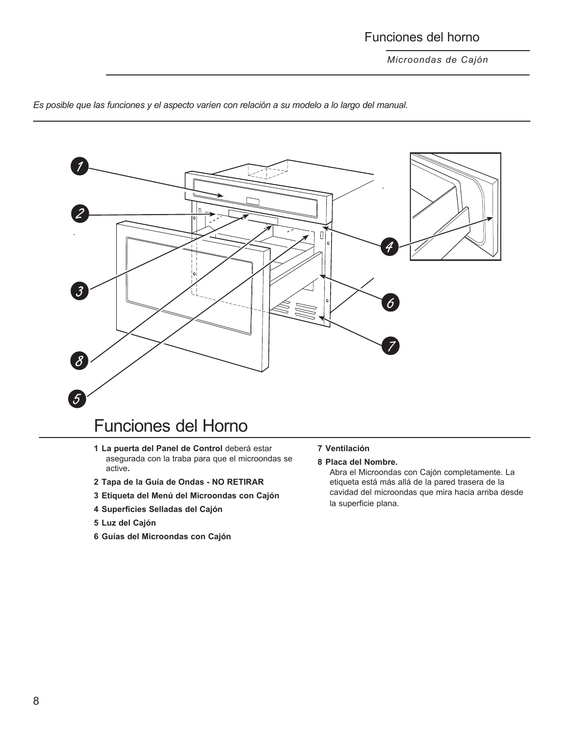## Funciones del horno

*Microondas de Cajón*



*Es posible que las funciones y el aspecto varíen con relación a su modelo a lo largo del manual.*

## Funciones del Horno

- **1 La puerta del Panel de Control** deberá estar asegurada con la traba para que el microondas se active**.**
- **2 Tapa de la Guía de Ondas NO RETIRAR**
- **3 Etiqueta del Menú del Microondas con Cajón**
- **4 Superficies Selladas del Cajón**
- **5 Luz del Cajón**
- **6 Guías del Microondas con Cajón**

**7 Ventilación**

#### **8 Placa del Nombre.**

Abra el Microondas con Cajón completamente. La etiqueta está más allá de la pared trasera de la cavidad del microondas que mira hacia arriba desde la superficie plana.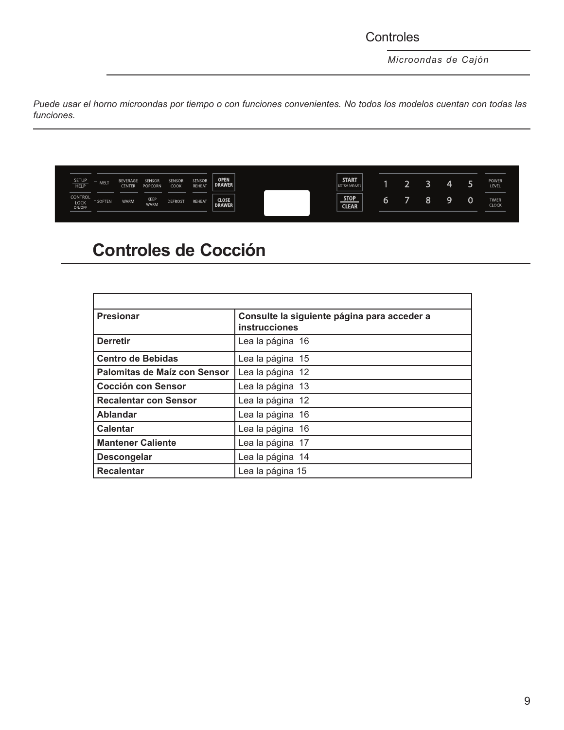## **Controles**

*Microondas de Cajón*

*Puede usar el horno microondas por tiempo o con funciones convenientes. No todos los modelos cuentan con todas las funciones.*

| <b>SETUP</b><br><b>HELP</b>             | MELT          | <b>BEVERAGE</b><br><b>CENTER</b> | SENSOF<br>POPCORN   | SENSOR<br>COOK | SENSOR<br><b>REHEAT</b> | <b>OPEN</b><br>DRAWER         | <b>START</b><br><b>EXTRA MINUTE</b> |   |        | ⊶ | <b>POWER</b><br>LEVEL        |
|-----------------------------------------|---------------|----------------------------------|---------------------|----------------|-------------------------|-------------------------------|-------------------------------------|---|--------|---|------------------------------|
| <b>CONTROL</b><br><b>LOCK</b><br>ON/OFF | <b>SOFTEN</b> | <b>WARM</b>                      | KEEP<br><b>WARM</b> | <b>DEFROST</b> | <b>REHEAT</b>           | <b>CLOSE</b><br><b>DRAWER</b> | <b>STOP</b><br><b>CLEAR</b>         | 0 | $\sim$ | a | <b>TIMER</b><br><b>CLOCK</b> |

## **Controles de Cocción**

| <b>Presionar</b>             | Consulte la siguiente página para acceder a<br><b>instrucciones</b> |
|------------------------------|---------------------------------------------------------------------|
| <b>Derretir</b>              | Lea la página 16                                                    |
| <b>Centro de Bebidas</b>     | Lea la página 15                                                    |
| Palomitas de Maíz con Sensor | Lea la página 12                                                    |
| <b>Cocción con Sensor</b>    | Lea la página 13                                                    |
| <b>Recalentar con Sensor</b> | Lea la página 12                                                    |
| Ablandar                     | Lea la página 16                                                    |
| <b>Calentar</b>              | Lea la página 16                                                    |
| <b>Mantener Caliente</b>     | Lea la página 17                                                    |
| <b>Descongelar</b>           | Lea la página 14                                                    |
| <b>Recalentar</b>            | Lea la página 15                                                    |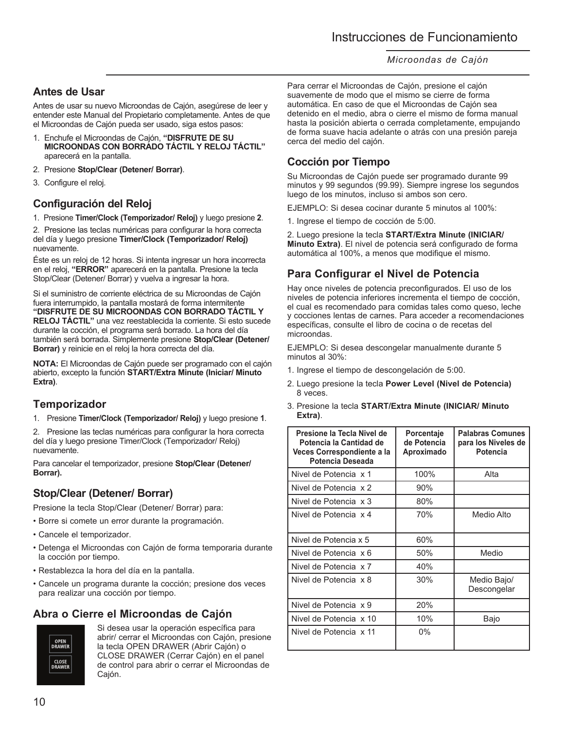## **Antes de Usar**

Antes de usar su nuevo Microondas de Cajón, asegúrese de leer y entender este Manual del Propietario completamente. Antes de que el Microondas de Cajón pueda ser usado, siga estos pasos:

- 1. Enchufe el Microondas de Cajón, **"DISFRUTE DE SU MICROONDAS CON BORRADO TÁCTIL Y RELOJ TÁCTIL"**  aparecerá en la pantalla.
- 2. Presione **Stop/Clear (Detener/ Borrar)**.
- 3. Configure el reloj.

## **Configuración del Reloj**

1. Presione **Timer/Clock (Temporizador/ Reloj)** y luego presione **2**.

2. Presione las teclas numéricas para configurar la hora correcta del día y luego presione **Timer/Clock (Temporizador/ Reloj)**  nuevamente.

Éste es un reloj de 12 horas. Si intenta ingresar un hora incorrecta en el reloj, **"ERROR"** aparecerá en la pantalla. Presione la tecla Stop/Clear (Detener/ Borrar) y vuelva a ingresar la hora.

Si el suministro de corriente eléctrica de su Microondas de Cajón fuera interrumpido, la pantalla mostará de forma intermitente **"DISFRUTE DE SU MICROONDAS CON BORRADO TÁCTIL Y RELOJ TÁCTIL"** una vez reestablecida la corriente. Si esto sucede durante la cocción, el programa será borrado. La hora del día también será borrada. Simplemente presione **Stop/Clear (Detener/ Borrar)** y reinicie en el reloj la hora correcta del día.

**NOTA:** El Microondas de Cajón puede ser programado con el cajón abierto, excepto la función **START/Extra Minute (Iniciar/ Minuto Extra)**.

## **Temporizador**

1. Presione **Timer/Clock (Temporizador/ Reloj)** y luego presione **1**.

2. Presione las teclas numéricas para configurar la hora correcta del día y luego presione Timer/Clock (Temporizador/ Reloj) nuevamente.

Para cancelar el temporizador, presione **Stop/Clear (Detener/ Borrar).**

## **Stop/Clear (Detener/ Borrar)**

Presione la tecla Stop/Clear (Detener/ Borrar) para:

- Borre si comete un error durante la programación.
- Cancele el temporizador.
- Detenga el Microondas con Cajón de forma temporaria durante la cocción por tiempo.
- Restablezca la hora del día en la pantalla.
- Cancele un programa durante la cocción; presione dos veces para realizar una cocción por tiempo.

## **Abra o Cierre el Microondas de Cajón**



Si desea usar la operación específica para abrir/ cerrar el Microondas con Cajón, presione la tecla OPEN DRAWER (Abrir Cajón) o CLOSE DRAWER (Cerrar Cajón) en el panel de control para abrir o cerrar el Microondas de Cajón.

Para cerrar el Microondas de Cajón, presione el cajón suavemente de modo que el mismo se cierre de forma automática. En caso de que el Microondas de Cajón sea detenido en el medio, abra o cierre el mismo de forma manual hasta la posición abierta o cerrada completamente, empujando de forma suave hacia adelante o atrás con una presión pareja cerca del medio del cajón.

## **Cocción por Tiempo**

Su Microondas de Cajón puede ser programado durante 99 minutos y 99 segundos (99.99). Siempre ingrese los segundos luego de los minutos, incluso si ambos son cero.

EJEMPLO: Si desea cocinar durante 5 minutos al 100%:

1. Ingrese el tiempo de cocción de 5:00.

2. Luego presione la tecla **START/Extra Minute (INICIAR/ Minuto Extra)**. El nivel de potencia será configurado de forma automática al 100%, a menos que modifique el mismo.

## **Para Configurar el Nivel de Potencia**

Hay once niveles de potencia preconfigurados. El uso de los niveles de potencia inferiores incrementa el tiempo de cocción, el cual es recomendado para comidas tales como queso, leche y cocciones lentas de carnes. Para acceder a recomendaciones específicas, consulte el libro de cocina o de recetas del microondas.

EJEMPLO: Si desea descongelar manualmente durante 5 minutos al 30%:

- 1. Ingrese el tiempo de descongelación de 5:00.
- 2. Luego presione la tecla **Power Level (Nivel de Potencia)** 8 veces.
- 3. Presione la tecla **START/Extra Minute (INICIAR/ Minuto Extra)**.

| Presione la Tecla Nivel de<br>Potencia la Cantidad de<br>Veces Correspondiente a la<br>Potencia Deseada | <b>Porcentaje</b><br>de Potencia<br>Aproximado | <b>Palabras Comunes</b><br>para los Niveles de<br><b>Potencia</b> |
|---------------------------------------------------------------------------------------------------------|------------------------------------------------|-------------------------------------------------------------------|
| Nivel de Potencia x 1                                                                                   | 100%                                           | Alta                                                              |
| Nivel de Potencia x 2                                                                                   | 90%                                            |                                                                   |
| Nivel de Potencia x 3                                                                                   | 80%                                            |                                                                   |
| Nivel de Potencia x 4                                                                                   | 70%                                            | Medio Alto                                                        |
| Nivel de Potencia x 5                                                                                   | 60%                                            |                                                                   |
| Nivel de Potencia x 6                                                                                   | 50%                                            | Medio                                                             |
| Nivel de Potencia x 7                                                                                   | 40%                                            |                                                                   |
| Nivel de Potencia x 8                                                                                   | 30%                                            | Medio Bajo/<br>Descongelar                                        |
| Nivel de Potencia x 9                                                                                   | 20%                                            |                                                                   |
| Nivel de Potencia x 10                                                                                  | 10%                                            | Bajo                                                              |
| Nivel de Potencia x 11                                                                                  | $0\%$                                          |                                                                   |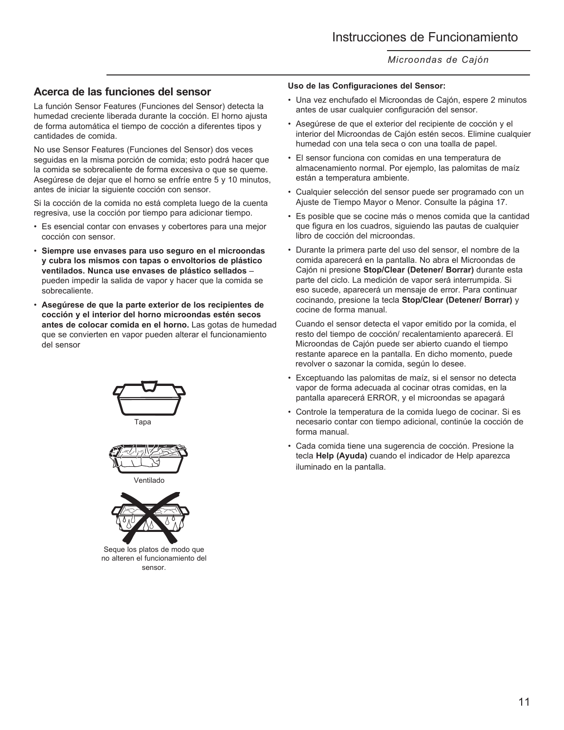### **Acerca de las funciones del sensor**

La función Sensor Features (Funciones del Sensor) detecta la humedad creciente liberada durante la cocción. El horno ajusta de forma automática el tiempo de cocción a diferentes tipos y cantidades de comida.

No use Sensor Features (Funciones del Sensor) dos veces seguidas en la misma porción de comida; esto podrá hacer que la comida se sobrecaliente de forma excesiva o que se queme. Asegúrese de dejar que el horno se enfríe entre 5 y 10 minutos, antes de iniciar la siguiente cocción con sensor.

Si la cocción de la comida no está completa luego de la cuenta regresiva, use la cocción por tiempo para adicionar tiempo.

- Es esencial contar con envases y cobertores para una mejor cocción con sensor.
- **Siempre use envases para uso seguro en el microondas y cubra los mismos con tapas o envoltorios de plástico ventilados. Nunca use envases de plástico sellados** – pueden impedir la salida de vapor y hacer que la comida se sobrecaliente.
- **Asegúrese de que la parte exterior de los recipientes de cocción y el interior del horno microondas estén secos antes de colocar comida en el horno.** Las gotas de humedad que se convierten en vapor pueden alterar el funcionamiento del sensor





Seque los platos de modo que no alteren el funcionamiento del sensor.

#### **Uso de las Configuraciones del Sensor:**

- Una vez enchufado el Microondas de Cajón, espere 2 minutos antes de usar cualquier configuración del sensor.
- Asegúrese de que el exterior del recipiente de cocción y el interior del Microondas de Cajón estén secos. Elimine cualquier humedad con una tela seca o con una toalla de papel.
- El sensor funciona con comidas en una temperatura de almacenamiento normal. Por ejemplo, las palomitas de maíz están a temperatura ambiente.
- Cualquier selección del sensor puede ser programado con un Ajuste de Tiempo Mayor o Menor. Consulte la página 17.
- Es posible que se cocine más o menos comida que la cantidad que figura en los cuadros, siguiendo las pautas de cualquier libro de cocción del microondas.
- Durante la primera parte del uso del sensor, el nombre de la comida aparecerá en la pantalla. No abra el Microondas de Cajón ni presione **Stop/Clear (Detener/ Borrar)** durante esta parte del ciclo. La medición de vapor será interrumpida. Si eso sucede, aparecerá un mensaje de error. Para continuar cocinando, presione la tecla **Stop/Clear (Detener/ Borrar)** y cocine de forma manual.

 Cuando el sensor detecta el vapor emitido por la comida, el resto del tiempo de cocción/ recalentamiento aparecerá. El Microondas de Cajón puede ser abierto cuando el tiempo restante aparece en la pantalla. En dicho momento, puede revolver o sazonar la comida, según lo desee.

- Exceptuando las palomitas de maíz, si el sensor no detecta vapor de forma adecuada al cocinar otras comidas, en la pantalla aparecerá ERROR, y el microondas se apagará
- Controle la temperatura de la comida luego de cocinar. Si es necesario contar con tiempo adicional, continúe la cocción de forma manual.
- Cada comida tiene una sugerencia de cocción. Presione la tecla **Help (Ayuda)** cuando el indicador de Help aparezca iluminado en la pantalla.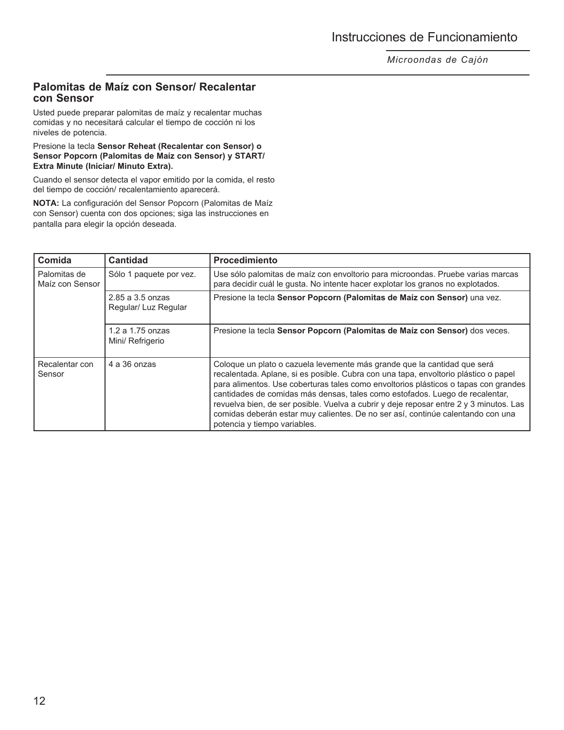### **Palomitas de Maíz con Sensor/ Recalentar con Sensor**

Usted puede preparar palomitas de maíz y recalentar muchas comidas y no necesitará calcular el tiempo de cocción ni los niveles de potencia.

Presione la tecla **Sensor Reheat (Recalentar con Sensor) o Sensor Popcorn (Palomitas de Maíz con Sensor) y START/ Extra Minute (Iniciar/ Minuto Extra).**

Cuando el sensor detecta el vapor emitido por la comida, el resto del tiempo de cocción/ recalentamiento aparecerá.

**NOTA:** La configuración del Sensor Popcorn (Palomitas de Maíz con Sensor) cuenta con dos opciones; siga las instrucciones en pantalla para elegir la opción deseada.

| Comida                          | <b>Cantidad</b>                          | <b>Procedimiento</b>                                                                                                                                                                                                                                                                                                                                                                                                                                                                                                                                |
|---------------------------------|------------------------------------------|-----------------------------------------------------------------------------------------------------------------------------------------------------------------------------------------------------------------------------------------------------------------------------------------------------------------------------------------------------------------------------------------------------------------------------------------------------------------------------------------------------------------------------------------------------|
| Palomitas de<br>Maíz con Sensor | Sólo 1 paquete por vez.                  | Use sólo palomitas de maíz con envoltorio para microondas. Pruebe varias marcas<br>para decidir cuál le gusta. No intente hacer explotar los granos no explotados.                                                                                                                                                                                                                                                                                                                                                                                  |
|                                 | 2.85 a 3.5 onzas<br>Regular/ Luz Regular | Presione la tecla Sensor Popcorn (Palomitas de Maíz con Sensor) una vez.                                                                                                                                                                                                                                                                                                                                                                                                                                                                            |
|                                 | $1.2$ a $1.75$ onzas<br>Mini/ Refrigerio | Presione la tecla Sensor Popcorn (Palomitas de Maíz con Sensor) dos veces.                                                                                                                                                                                                                                                                                                                                                                                                                                                                          |
| Recalentar con<br>Sensor        | 4 a 36 onzas                             | Coloque un plato o cazuela levemente más grande que la cantidad que será<br>recalentada. Aplane, si es posible. Cubra con una tapa, envoltorio plástico o papel<br>para alimentos. Use coberturas tales como envoltorios plásticos o tapas con grandes<br>cantidades de comidas más densas, tales como estofados. Luego de recalentar,<br>revuelva bien, de ser posible. Vuelva a cubrir y deje reposar entre 2 y 3 minutos. Las<br>comidas deberán estar muy calientes. De no ser así, continúe calentando con una<br>potencia y tiempo variables. |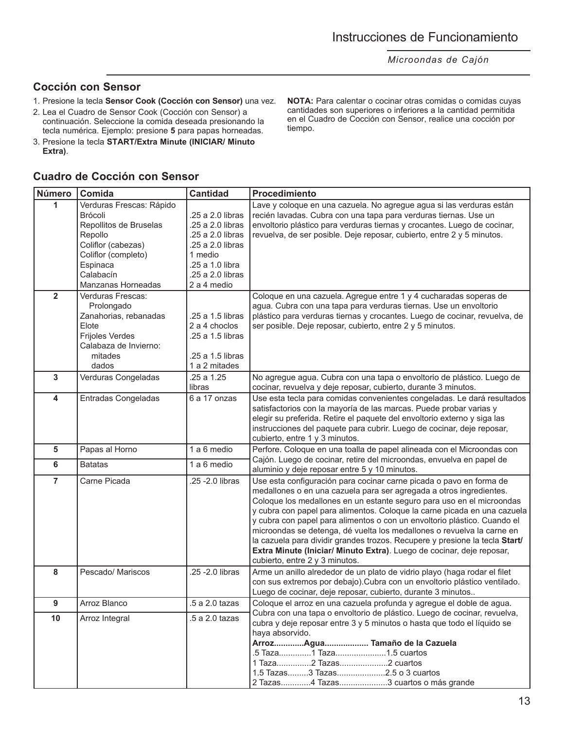### **Cocción con Sensor**

- 1. Presione la tecla **Sensor Cook (Cocción con Sensor)** una vez.
- 2. Lea el Cuadro de Sensor Cook (Cocción con Sensor) a
- continuación. Seleccione la comida deseada presionando la tecla numérica. Ejemplo: presione **5** para papas horneadas.
- 3. Presione la tecla **START/Extra Minute (INICIAR/ Minuto Extra)**.

#### **NOTA:** Para calentar o cocinar otras comidas o comidas cuyas cantidades son superiores o inferiores a la cantidad permitida en el Cuadro de Cocción con Sensor, realice una cocción por tiempo.

#### **Número Comida Cantidad Procedimiento Cuadro de Cocción con Sensor**

| ∪omida            | Cantidad                                                                                                                                                                                                                                                                                                                                                                                                           | Proceaimiento                                                                                                                                                                                                                                                                                                                            |
|-------------------|--------------------------------------------------------------------------------------------------------------------------------------------------------------------------------------------------------------------------------------------------------------------------------------------------------------------------------------------------------------------------------------------------------------------|------------------------------------------------------------------------------------------------------------------------------------------------------------------------------------------------------------------------------------------------------------------------------------------------------------------------------------------|
|                   |                                                                                                                                                                                                                                                                                                                                                                                                                    | Lave y coloque en una cazuela. No agregue agua si las verduras están                                                                                                                                                                                                                                                                     |
|                   |                                                                                                                                                                                                                                                                                                                                                                                                                    | recién lavadas. Cubra con una tapa para verduras tiernas. Use un                                                                                                                                                                                                                                                                         |
|                   |                                                                                                                                                                                                                                                                                                                                                                                                                    | envoltorio plástico para verduras tiernas y crocantes. Luego de cocinar,                                                                                                                                                                                                                                                                 |
|                   |                                                                                                                                                                                                                                                                                                                                                                                                                    | revuelva, de ser posible. Deje reposar, cubierto, entre 2 y 5 minutos.                                                                                                                                                                                                                                                                   |
|                   |                                                                                                                                                                                                                                                                                                                                                                                                                    |                                                                                                                                                                                                                                                                                                                                          |
|                   |                                                                                                                                                                                                                                                                                                                                                                                                                    |                                                                                                                                                                                                                                                                                                                                          |
|                   |                                                                                                                                                                                                                                                                                                                                                                                                                    |                                                                                                                                                                                                                                                                                                                                          |
|                   |                                                                                                                                                                                                                                                                                                                                                                                                                    |                                                                                                                                                                                                                                                                                                                                          |
|                   |                                                                                                                                                                                                                                                                                                                                                                                                                    |                                                                                                                                                                                                                                                                                                                                          |
|                   |                                                                                                                                                                                                                                                                                                                                                                                                                    | Coloque en una cazuela. Agregue entre 1 y 4 cucharadas soperas de                                                                                                                                                                                                                                                                        |
|                   |                                                                                                                                                                                                                                                                                                                                                                                                                    | agua. Cubra con una tapa para verduras tiernas. Use un envoltorio                                                                                                                                                                                                                                                                        |
|                   |                                                                                                                                                                                                                                                                                                                                                                                                                    | plástico para verduras tiernas y crocantes. Luego de cocinar, revuelva, de                                                                                                                                                                                                                                                               |
|                   |                                                                                                                                                                                                                                                                                                                                                                                                                    | ser posible. Deje reposar, cubierto, entre 2 y 5 minutos.                                                                                                                                                                                                                                                                                |
|                   |                                                                                                                                                                                                                                                                                                                                                                                                                    |                                                                                                                                                                                                                                                                                                                                          |
|                   |                                                                                                                                                                                                                                                                                                                                                                                                                    |                                                                                                                                                                                                                                                                                                                                          |
|                   |                                                                                                                                                                                                                                                                                                                                                                                                                    |                                                                                                                                                                                                                                                                                                                                          |
|                   |                                                                                                                                                                                                                                                                                                                                                                                                                    |                                                                                                                                                                                                                                                                                                                                          |
|                   |                                                                                                                                                                                                                                                                                                                                                                                                                    | No agregue agua. Cubra con una tapa o envoltorio de plástico. Luego de                                                                                                                                                                                                                                                                   |
|                   |                                                                                                                                                                                                                                                                                                                                                                                                                    | cocinar, revuelva y deje reposar, cubierto, durante 3 minutos.                                                                                                                                                                                                                                                                           |
|                   |                                                                                                                                                                                                                                                                                                                                                                                                                    | Use esta tecla para comidas convenientes congeladas. Le dará resultados                                                                                                                                                                                                                                                                  |
|                   |                                                                                                                                                                                                                                                                                                                                                                                                                    | satisfactorios con la mayoría de las marcas. Puede probar varias y                                                                                                                                                                                                                                                                       |
|                   |                                                                                                                                                                                                                                                                                                                                                                                                                    | elegir su preferida. Retire el paquete del envoltorio externo y siga las                                                                                                                                                                                                                                                                 |
|                   |                                                                                                                                                                                                                                                                                                                                                                                                                    | instrucciones del paquete para cubrir. Luego de cocinar, deje reposar,                                                                                                                                                                                                                                                                   |
|                   |                                                                                                                                                                                                                                                                                                                                                                                                                    | cubierto, entre 1 y 3 minutos.                                                                                                                                                                                                                                                                                                           |
|                   |                                                                                                                                                                                                                                                                                                                                                                                                                    | Perfore. Coloque en una toalla de papel alineada con el Microondas con                                                                                                                                                                                                                                                                   |
| <b>Batatas</b>    | 1 a 6 medio                                                                                                                                                                                                                                                                                                                                                                                                        | Cajón. Luego de cocinar, retire del microondas, envuelva en papel de<br>aluminio y deje reposar entre 5 y 10 minutos.                                                                                                                                                                                                                    |
|                   |                                                                                                                                                                                                                                                                                                                                                                                                                    | Use esta configuración para cocinar carne picada o pavo en forma de                                                                                                                                                                                                                                                                      |
|                   |                                                                                                                                                                                                                                                                                                                                                                                                                    | medallones o en una cazuela para ser agregada a otros ingredientes.                                                                                                                                                                                                                                                                      |
|                   |                                                                                                                                                                                                                                                                                                                                                                                                                    | Coloque los medallones en un estante seguro para uso en el microondas                                                                                                                                                                                                                                                                    |
|                   |                                                                                                                                                                                                                                                                                                                                                                                                                    | y cubra con papel para alimentos. Coloque la carne picada en una cazuela                                                                                                                                                                                                                                                                 |
|                   |                                                                                                                                                                                                                                                                                                                                                                                                                    | y cubra con papel para alimentos o con un envoltorio plástico. Cuando el                                                                                                                                                                                                                                                                 |
|                   |                                                                                                                                                                                                                                                                                                                                                                                                                    | microondas se detenga, dé vuelta los medallones o revuelva la carne en                                                                                                                                                                                                                                                                   |
|                   |                                                                                                                                                                                                                                                                                                                                                                                                                    | la cazuela para dividir grandes trozos. Recupere y presione la tecla Start/                                                                                                                                                                                                                                                              |
|                   |                                                                                                                                                                                                                                                                                                                                                                                                                    | Extra Minute (Iniciar/ Minuto Extra). Luego de cocinar, deje reposar,                                                                                                                                                                                                                                                                    |
|                   |                                                                                                                                                                                                                                                                                                                                                                                                                    | cubierto, entre 2 y 3 minutos.                                                                                                                                                                                                                                                                                                           |
| Pescado/ Mariscos | .25 - 2.0 libras                                                                                                                                                                                                                                                                                                                                                                                                   | Arme un anillo alrededor de un plato de vidrio playo (haga rodar el filet                                                                                                                                                                                                                                                                |
|                   |                                                                                                                                                                                                                                                                                                                                                                                                                    | con sus extremos por debajo). Cubra con un envoltorio plástico ventilado.                                                                                                                                                                                                                                                                |
|                   |                                                                                                                                                                                                                                                                                                                                                                                                                    | Luego de cocinar, deje reposar, cubierto, durante 3 minutos                                                                                                                                                                                                                                                                              |
| Arroz Blanco      | .5 a 2.0 tazas                                                                                                                                                                                                                                                                                                                                                                                                     | Coloque el arroz en una cazuela profunda y agregue el doble de agua.                                                                                                                                                                                                                                                                     |
|                   |                                                                                                                                                                                                                                                                                                                                                                                                                    | Cubra con una tapa o envoltorio de plástico. Luego de cocinar, revuelva,                                                                                                                                                                                                                                                                 |
|                   |                                                                                                                                                                                                                                                                                                                                                                                                                    | cubra y deje reposar entre 3 y 5 minutos o hasta que todo el líquido se                                                                                                                                                                                                                                                                  |
|                   |                                                                                                                                                                                                                                                                                                                                                                                                                    | haya absorvido.                                                                                                                                                                                                                                                                                                                          |
|                   |                                                                                                                                                                                                                                                                                                                                                                                                                    | ArrozAgua Tamaño de la Cazuela                                                                                                                                                                                                                                                                                                           |
|                   |                                                                                                                                                                                                                                                                                                                                                                                                                    | .5 Taza1 Taza1.5 cuartos                                                                                                                                                                                                                                                                                                                 |
|                   |                                                                                                                                                                                                                                                                                                                                                                                                                    | 1 Taza2 Tazas2 cuartos                                                                                                                                                                                                                                                                                                                   |
|                   |                                                                                                                                                                                                                                                                                                                                                                                                                    | 1.5 Tazas3 Tazas2.5 o 3 cuartos                                                                                                                                                                                                                                                                                                          |
|                   |                                                                                                                                                                                                                                                                                                                                                                                                                    | 2 Tazas4 Tazas3 cuartos o más grande                                                                                                                                                                                                                                                                                                     |
|                   | Verduras Frescas: Rápido<br>Brócoli<br>Repollitos de Bruselas<br>Repollo<br>Coliflor (cabezas)<br>Coliflor (completo)<br>Espinaca<br>Calabacín<br><b>Manzanas Horneadas</b><br>Verduras Frescas:<br>Prolongado<br>Zanahorias, rebanadas<br>Elote<br>Frijoles Verdes<br>Calabaza de Invierno:<br>mitades<br>dados<br>Verduras Congeladas<br>Entradas Congeladas<br>Papas al Horno<br>Carne Picada<br>Arroz Integral | .25 a 2.0 libras<br>.25 a 2.0 libras<br>.25 a 2.0 libras<br>.25 a 2.0 libras<br>1 medio<br>.25 a 1.0 libra<br>.25 a 2.0 libras<br>2 a 4 medio<br>.25 a 1.5 libras<br>2 a 4 choclos<br>.25 a 1.5 libras<br>.25 a 1.5 libras<br>1 a 2 mitades<br>.25 a 1.25<br>libras<br>6 a 17 onzas<br>1 a 6 medio<br>.25 - 2.0 libras<br>.5 a 2.0 tazas |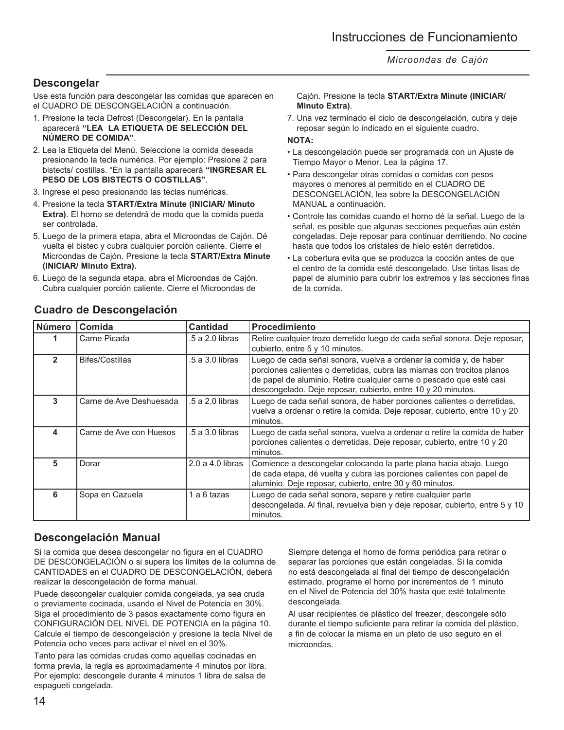### **Descongelar**

Use esta función para descongelar las comidas que aparecen en el CUADRO DE DESCONGELACIÓN a continuación.

- 1. Presione la tecla Defrost (Descongelar). En la pantalla aparecerá **"LEA LA ETIQUETA DE SELECCIÓN DEL NÚMERO DE COMIDA"**.
- 2. Lea la Etiqueta del Menú. Seleccione la comida deseada presionando la tecla numérica. Por ejemplo: Presione 2 para bistects/ costillas. "En la pantalla aparecerá **"INGRESAR EL PESO DE LOS BISTECTS O COSTILLAS"**.
- 3. Ingrese el peso presionando las teclas numéricas.
- 4. Presione la tecla **START/Extra Minute (INICIAR/ Minuto Extra)**. El horno se detendrá de modo que la comida pueda ser controlada.
- 5. Luego de la primera etapa, abra el Microondas de Cajón. Dé vuelta el bistec y cubra cualquier porción caliente. Cierre el Microondas de Cajón. Presione la tecla **START/Extra Minute (INICIAR/ Minuto Extra).**
- 6. Luego de la segunda etapa, abra el Microondas de Cajón. Cubra cualquier porción caliente. Cierre el Microondas de

Cajón. Presione la tecla **START/Extra Minute (INICIAR/ Minuto Extra)**.

7. Una vez terminado el ciclo de descongelación, cubra y deje reposar según lo indicado en el siguiente cuadro.

#### **NOTA:**

- La descongelación puede ser programada con un Ajuste de Tiempo Mayor o Menor. Lea la página 17.
- Para descongelar otras comidas o comidas con pesos mayores o menores al permitido en el CUADRO DE DESCONGELACIÓN, lea sobre la DESCONGELACIÓN MANUAL a continuación.
- Controle las comidas cuando el horno dé la señal. Luego de la señal, es posible que algunas secciones pequeñas aún estén congeladas. Deje reposar para continuar derritiendo. No cocine hasta que todos los cristales de hielo estén derretidos.
- La cobertura evita que se produzca la cocción antes de que el centro de la comida esté descongelado. Use tiritas lisas de papel de aluminio para cubrir los extremos y las secciones finas de la comida.

| <b>Número</b> | Comida                  | <b>Cantidad</b>      | <b>Procedimiento</b>                                                                                                                                                                                                                                                                 |
|---------------|-------------------------|----------------------|--------------------------------------------------------------------------------------------------------------------------------------------------------------------------------------------------------------------------------------------------------------------------------------|
|               | Carne Picada            | .5 a 2.0 libras      | Retire cualquier trozo derretido luego de cada señal sonora. Deje reposar,<br>cubierto, entre 5 y 10 minutos.                                                                                                                                                                        |
| 2             | Bifes/Costillas         | .5 a 3.0 libras      | Luego de cada señal sonora, vuelva a ordenar la comida y, de haber<br>porciones calientes o derretidas, cubra las mismas con trocitos planos<br>de papel de aluminio. Retire cualquier carne o pescado que esté casi<br>descongelado. Deje reposar, cubierto, entre 10 y 20 minutos. |
| 3             | Carne de Ave Deshuesada | .5 a 2.0 libras      | Luego de cada señal sonora, de haber porciones calientes o derretidas,<br>vuelva a ordenar o retire la comida. Deje reposar, cubierto, entre 10 y 20<br>minutos.                                                                                                                     |
| 4             | Carne de Ave con Huesos | .5 a 3.0 libras      | Luego de cada señal sonora, vuelva a ordenar o retire la comida de haber<br>porciones calientes o derretidas. Deje reposar, cubierto, entre 10 y 20<br>minutos.                                                                                                                      |
| 5             | Dorar                   | $2.0$ a $4.0$ libras | Comience a descongelar colocando la parte plana hacia abajo. Luego<br>de cada etapa, dé vuelta y cubra las porciones calientes con papel de<br>aluminio. Deje reposar, cubierto, entre 30 y 60 minutos.                                                                              |
| 6             | Sopa en Cazuela         | 1 a 6 tazas          | Luego de cada señal sonora, separe y retire cualquier parte<br>descongelada. Al final, revuelva bien y deje reposar, cubierto, entre 5 y 10<br>minutos.                                                                                                                              |

## **Cuadro de Descongelación**

### **Descongelación Manual**

Si la comida que desea descongelar no figura en el CUADRO DE DESCONGELACIÓN o si supera los límites de la columna de CANTIDADES en el CUADRO DE DESCONGELACIÓN, deberá realizar la descongelación de forma manual.

Puede descongelar cualquier comida congelada, ya sea cruda o previamente cocinada, usando el Nivel de Potencia en 30%. Siga el procedimiento de 3 pasos exactamente como figura en CONFIGURACIÓN DEL NIVEL DE POTENCIA en la página 10. Calcule el tiempo de descongelación y presione la tecla Nivel de Potencia ocho veces para activar el nivel en el 30%.

Tanto para las comidas crudas como aquellas cocinadas en forma previa, la regla es aproximadamente 4 minutos por libra. Por ejemplo: descongele durante 4 minutos 1 libra de salsa de espagueti congelada.

Siempre detenga el horno de forma periódica para retirar o separar las porciones que están congeladas. Si la comida no está descongelada al final del tiempo de descongelación estimado, programe el horno por incrementos de 1 minuto en el Nivel de Potencia del 30% hasta que esté totalmente descongelada.

Al usar recipientes de plástico del freezer, descongele sólo durante el tiempo suficiente para retirar la comida del plástico, a fin de colocar la misma en un plato de uso seguro en el microondas.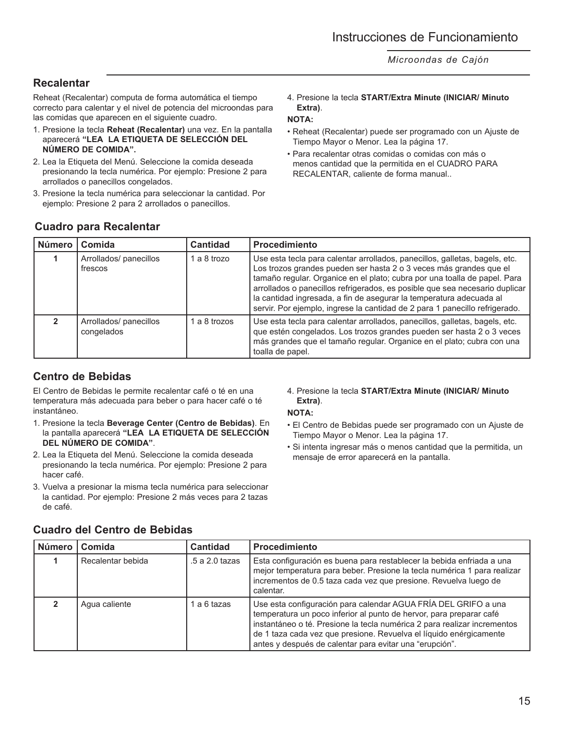## **Recalentar**

Reheat (Recalentar) computa de forma automática el tiempo correcto para calentar y el nivel de potencia del microondas para las comidas que aparecen en el siguiente cuadro.

- 1. Presione la tecla **Reheat (Recalentar)** una vez. En la pantalla aparecerá **"LEA LA ETIQUETA DE SELECCIÓN DEL NÚMERO DE COMIDA".**
- 2. Lea la Etiqueta del Menú. Seleccione la comida deseada presionando la tecla numérica. Por ejemplo: Presione 2 para arrollados o panecillos congelados.
- 3. Presione la tecla numérica para seleccionar la cantidad. Por ejemplo: Presione 2 para 2 arrollados o panecillos.

4. Presione la tecla **START/Extra Minute (INICIAR/ Minuto Extra)**.

### **NOTA:**

- Reheat (Recalentar) puede ser programado con un Ajuste de Tiempo Mayor o Menor. Lea la página 17.
- Para recalentar otras comidas o comidas con más o menos cantidad que la permitida en el CUADRO PARA RECALENTAR, caliente de forma manual..

| Número <sup>1</sup> | Comida                               | <b>Cantidad</b> | <b>Procedimiento</b>                                                                                                                                                                                                                                                                                                                                                                                                                                                |
|---------------------|--------------------------------------|-----------------|---------------------------------------------------------------------------------------------------------------------------------------------------------------------------------------------------------------------------------------------------------------------------------------------------------------------------------------------------------------------------------------------------------------------------------------------------------------------|
|                     | Arrollados/ panecillos<br>frescos    | 1 a 8 trozo     | Use esta tecla para calentar arrollados, panecillos, galletas, bagels, etc.<br>Los trozos grandes pueden ser hasta 2 o 3 veces más grandes que el<br>tamaño regular. Organice en el plato; cubra por una toalla de papel. Para<br>arrollados o panecillos refrigerados, es posible que sea necesario duplicar<br>la cantidad ingresada, a fin de asegurar la temperatura adecuada al<br>servir. Por ejemplo, ingrese la cantidad de 2 para 1 panecillo refrigerado. |
|                     | Arrollados/ panecillos<br>congelados | 1 a 8 trozos    | Use esta tecla para calentar arrollados, panecillos, galletas, bagels, etc.<br>que estén congelados. Los trozos grandes pueden ser hasta 2 o 3 veces<br>más grandes que el tamaño regular. Organice en el plato; cubra con una<br>toalla de papel.                                                                                                                                                                                                                  |

## **Cuadro para Recalentar**

## **Centro de Bebidas**

El Centro de Bebidas le permite recalentar café o té en una temperatura más adecuada para beber o para hacer café o té instantáneo.

- 1. Presione la tecla **Beverage Center (Centro de Bebidas)**. En la pantalla aparecerá **"LEA LA ETIQUETA DE SELECCIÓN DEL NÚMERO DE COMIDA"**.
- 2. Lea la Etiqueta del Menú. Seleccione la comida deseada presionando la tecla numérica. Por ejemplo: Presione 2 para hacer café.
- 3. Vuelva a presionar la misma tecla numérica para seleccionar la cantidad. Por ejemplo: Presione 2 más veces para 2 tazas de café.

4. Presione la tecla **START/Extra Minute (INICIAR/ Minuto Extra)**.

### **NOTA:**

- El Centro de Bebidas puede ser programado con un Ajuste de Tiempo Mayor o Menor. Lea la página 17.
- Si intenta ingresar más o menos cantidad que la permitida, un mensaje de error aparecerá en la pantalla.

| Número | Comida            | <b>Cantidad</b> | <b>Procedimiento</b>                                                                                                                                                                                                                                                                                                                               |
|--------|-------------------|-----------------|----------------------------------------------------------------------------------------------------------------------------------------------------------------------------------------------------------------------------------------------------------------------------------------------------------------------------------------------------|
|        | Recalentar bebida | .5 a 2.0 tazas  | Esta configuración es buena para restablecer la bebida enfriada a una<br>mejor temperatura para beber. Presione la tecla numérica 1 para realizar<br>incrementos de 0.5 taza cada vez que presione. Revuelva luego de<br>calentar.                                                                                                                 |
|        | Agua caliente     | a 6 tazas       | Use esta configuración para calendar AGUA FRÍA DEL GRIFO a una<br>temperatura un poco inferior al punto de hervor, para preparar café<br>instantáneo o té. Presione la tecla numérica 2 para realizar incrementos<br>de 1 taza cada vez que presione. Revuelva el líquido enérgicamente<br>antes y después de calentar para evitar una "erupción". |

### **Cuadro del Centro de Bebidas**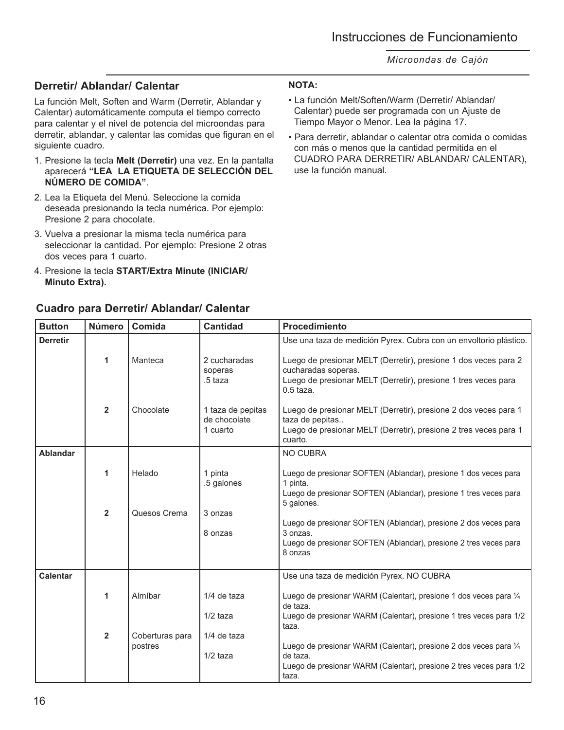### **Derretir/ Ablandar/ Calentar**

La función Melt, Soften and Warm (Derretir, Ablandar y Calentar) automáticamente computa el tiempo correcto para calentar y el nivel de potencia del microondas para derretir, ablandar, y calentar las comidas que figuran en el siguiente cuadro.

- 1. Presione la tecla **Melt (Derretir)** una vez. En la pantalla aparecerá **"LEA LA ETIQUETA DE SELECCIÓN DEL NÚMERO DE COMIDA"**.
- 2. Lea la Etiqueta del Menú. Seleccione la comida deseada presionando la tecla numérica. Por ejemplo: Presione 2 para chocolate.
- 3. Vuelva a presionar la misma tecla numérica para seleccionar la cantidad. Por ejemplo: Presione 2 otras dos veces para 1 cuarto.
- 4. Presione la tecla **START/Extra Minute (INICIAR/ Minuto Extra).**

## **Cuadro para Derretir/ Ablandar/ Calentar**

### **NOTA:**

- La función Melt/Soften/Warm (Derretir/ Ablandar/ Calentar) puede ser programada con un Ajuste de Tiempo Mayor o Menor. Lea la página 17.
- Para derretir, ablandar o calentar otra comida o comidas con más o menos que la cantidad permitida en el CUADRO PARA DERRETIR/ ABLANDAR/ CALENTAR), use la función manual.

| <b>Button</b>   | <b>Número</b>  | Comida                     | <b>Cantidad</b>                               | <b>Procedimiento</b>                                                                                                                                                    |
|-----------------|----------------|----------------------------|-----------------------------------------------|-------------------------------------------------------------------------------------------------------------------------------------------------------------------------|
| <b>Derretir</b> |                |                            |                                               | Use una taza de medición Pyrex. Cubra con un envoltorio plástico.                                                                                                       |
|                 | 1              | Manteca                    | 2 cucharadas<br>soperas<br>.5 taza            | Luego de presionar MELT (Derretir), presione 1 dos veces para 2<br>cucharadas soperas.<br>Luego de presionar MELT (Derretir), presione 1 tres veces para<br>$0.5$ taza. |
|                 | $\overline{2}$ | Chocolate                  | 1 taza de pepitas<br>de chocolate<br>1 cuarto | Luego de presionar MELT (Derretir), presione 2 dos veces para 1<br>taza de pepitas<br>Luego de presionar MELT (Derretir), presione 2 tres veces para 1<br>cuarto.       |
| <b>Ablandar</b> |                |                            |                                               | NO CUBRA                                                                                                                                                                |
|                 | 1              | Helado                     | 1 pinta<br>.5 galones                         | Luego de presionar SOFTEN (Ablandar), presione 1 dos veces para<br>1 pinta.<br>Luego de presionar SOFTEN (Ablandar), presione 1 tres veces para<br>5 galones.           |
|                 | $\overline{2}$ | Quesos Crema               | 3 onzas<br>8 onzas                            | Luego de presionar SOFTEN (Ablandar), presione 2 dos veces para<br>3 onzas.<br>Luego de presionar SOFTEN (Ablandar), presione 2 tres veces para<br>8 onzas              |
| <b>Calentar</b> |                |                            |                                               | Use una taza de medición Pyrex. NO CUBRA                                                                                                                                |
|                 | 1              | Almíbar                    | 1/4 de taza                                   | Luego de presionar WARM (Calentar), presione 1 dos veces para 1/4<br>de taza.                                                                                           |
|                 |                |                            | $1/2$ taza                                    | Luego de presionar WARM (Calentar), presione 1 tres veces para 1/2<br>taza.                                                                                             |
|                 | $\overline{2}$ | Coberturas para<br>postres | 1/4 de taza<br>$1/2$ taza                     | Luego de presionar WARM (Calentar), presione 2 dos veces para 1/4<br>de taza.<br>Luego de presionar WARM (Calentar), presione 2 tres veces para 1/2<br>taza.            |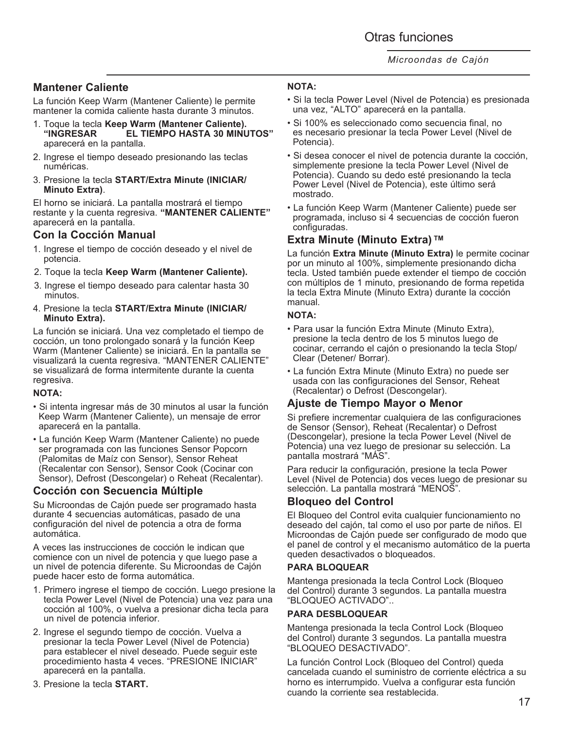## **Mantener Caliente**

La función Keep Warm (Mantener Caliente) le permite mantener la comida caliente hasta durante 3 minutos.

- 1. Toque la tecla **Keep Warm (Mantener Caliente). "INGRESAR EL TIEMPO HASTA 30 MINUTOS"**  aparecerá en la pantalla.
- 2. Ingrese el tiempo deseado presionando las teclas numéricas.
- 3. Presione la tecla **START/Extra Minute (INICIAR/ Minuto Extra)**.

El horno se iniciará. La pantalla mostrará el tiempo restante y la cuenta regresiva. **"MANTENER CALIENTE"** aparecerá en la pantalla.

### **Con la Cocción Manual**

- 1. Ingrese el tiempo de cocción deseado y el nivel de potencia.
- 2. Toque la tecla **Keep Warm (Mantener Caliente).**
- 3. Ingrese el tiempo deseado para calentar hasta 30 minutos.
- 4. Presione la tecla **START/Extra Minute (INICIAR/ Minuto Extra).**

La función se iniciará. Una vez completado el tiempo de cocción, un tono prolongado sonará y la función Keep Warm (Mantener Caliente) se iniciará. En la pantalla se visualizará la cuenta regresiva. "MANTENER CALIENTE" se visualizará de forma intermitente durante la cuenta regresiva.

### **NOTA:**

- Si intenta ingresar más de 30 minutos al usar la función Keep Warm (Mantener Caliente), un mensaje de error aparecerá en la pantalla.
- La función Keep Warm (Mantener Caliente) no puede ser programada con las funciones Sensor Popcorn (Palomitas de Maíz con Sensor), Sensor Reheat (Recalentar con Sensor), Sensor Cook (Cocinar con Sensor), Defrost (Descongelar) o Reheat (Recalentar).

### **Cocción con Secuencia Múltiple**

Su Microondas de Cajón puede ser programado hasta durante 4 secuencias automáticas, pasado de una configuración del nivel de potencia a otra de forma automática.

A veces las instrucciones de cocción le indican que comience con un nivel de potencia y que luego pase a un nivel de potencia diferente. Su Microondas de Cajón puede hacer esto de forma automática.

- 1. Primero ingrese el tiempo de cocción. Luego presione la tecla Power Level (Nivel de Potencia) una vez para una cocción al 100%, o vuelva a presionar dicha tecla para un nivel de potencia inferior.
- 2. Ingrese el segundo tiempo de cocción. Vuelva a presionar la tecla Power Level (Nivel de Potencia) para establecer el nivel deseado. Puede seguir este procedimiento hasta 4 veces. "PRESIONE INICIAR" aparecerá en la pantalla.
- 3. Presione la tecla **START.**

### **NOTA:**

- Si la tecla Power Level (Nivel de Potencia) es presionada una vez, "ALTO" aparecerá en la pantalla.
- Si 100% es seleccionado como secuencia final, no es necesario presionar la tecla Power Level (Nivel de Potencia).
- Si desea conocer el nivel de potencia durante la cocción, simplemente presione la tecla Power Level (Nivel de Potencia). Cuando su dedo esté presionando la tecla Power Level (Nivel de Potencia), este último será mostrado.
- La función Keep Warm (Mantener Caliente) puede ser programada, incluso si 4 secuencias de cocción fueron configuradas.

### **Extra Minute (Minuto Extra) TM**

La función **Extra Minute (Minuto Extra)** le permite cocinar por un minuto al 100%, simplemente presionando dicha tecla. Usted también puede extender el tiempo de cocción con múltiplos de 1 minuto, presionando de forma repetida la tecla Extra Minute (Minuto Extra) durante la cocción manual.

### **NOTA:**

- Para usar la función Extra Minute (Minuto Extra), presione la tecla dentro de los 5 minutos luego de cocinar, cerrando el cajón o presionando la tecla Stop/ Clear (Detener/ Borrar).
- La función Extra Minute (Minuto Extra) no puede ser usada con las configuraciones del Sensor, Reheat (Recalentar) o Defrost (Descongelar).

## **Ajuste de Tiempo Mayor o Menor**

Si prefiere incrementar cualquiera de las configuraciones de Sensor (Sensor), Reheat (Recalentar) o Defrost (Descongelar), presione la tecla Power Level (Nivel de Potencia) una vez luego de presionar su selección. La pantalla mostrará "MÁS".

Para reducir la configuración, presione la tecla Power Level (Nivel de Potencia) dos veces luego de presionar su selección. La pantalla mostrará "MENOS".

### **Bloqueo del Control**

El Bloqueo del Control evita cualquier funcionamiento no deseado del cajón, tal como el uso por parte de niños. El Microondas de Cajón puede ser configurado de modo que el panel de control y el mecanismo automático de la puerta queden desactivados o bloqueados.

### **PARA BLOQUEAR**

Mantenga presionada la tecla Control Lock (Bloqueo del Control) durante 3 segundos. La pantalla muestra "BLOQUEO ACTIVADO"..

### **PARA DESBLOQUEAR**

Mantenga presionada la tecla Control Lock (Bloqueo del Control) durante 3 segundos. La pantalla muestra "BLOQUEO DESACTIVADO".

La función Control Lock (Bloqueo del Control) queda cancelada cuando el suministro de corriente eléctrica a su horno es interrumpido. Vuelva a configurar esta función cuando la corriente sea restablecida.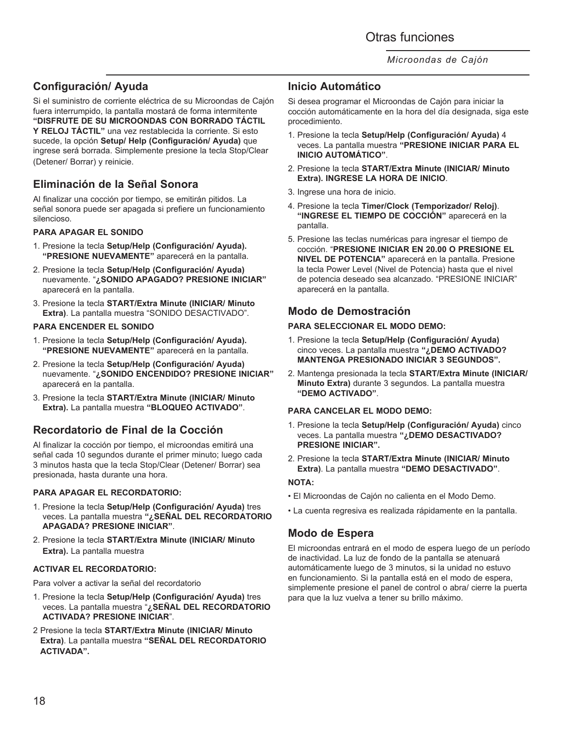## **Configuración/ Ayuda**

Si el suministro de corriente eléctrica de su Microondas de Cajón fuera interrumpido, la pantalla mostará de forma intermitente **"DISFRUTE DE SU MICROONDAS CON BORRADO TÁCTIL Y RELOJ TÁCTIL"** una vez restablecida la corriente. Si esto sucede, la opción **Setup/ Help (Configuración/ Ayuda)** que ingrese será borrada. Simplemente presione la tecla Stop/Clear (Detener/ Borrar) y reinicie.

## **Eliminación de la Señal Sonora**

Al finalizar una cocción por tiempo, se emitirán pitidos. La señal sonora puede ser apagada si prefiere un funcionamiento silencioso.

### **PARA APAGAR EL SONIDO**

- 1. Presione la tecla **Setup/Help (Configuración/ Ayuda). "PRESIONE NUEVAMENTE"** aparecerá en la pantalla.
- 2. Presione la tecla **Setup/Help (Configuración/ Ayuda)** nuevamente. "**¿SONIDO APAGADO? PRESIONE INICIAR"** aparecerá en la pantalla.
- 3. Presione la tecla **START/Extra Minute (INICIAR/ Minuto Extra)**. La pantalla muestra "SONIDO DESACTIVADO".

#### **PARA ENCENDER EL SONIDO**

- 1. Presione la tecla **Setup/Help (Configuración/ Ayuda). "PRESIONE NUEVAMENTE"** aparecerá en la pantalla.
- 2. Presione la tecla **Setup/Help (Configuración/ Ayuda)**  nuevamente. "**¿SONIDO ENCENDIDO? PRESIONE INICIAR"** aparecerá en la pantalla.
- 3. Presione la tecla **START/Extra Minute (INICIAR/ Minuto Extra).** La pantalla muestra **"BLOQUEO ACTIVADO"**.

## **Recordatorio de Final de la Cocción**

Al finalizar la cocción por tiempo, el microondas emitirá una señal cada 10 segundos durante el primer minuto; luego cada 3 minutos hasta que la tecla Stop/Clear (Detener/ Borrar) sea presionada, hasta durante una hora.

### **PARA APAGAR EL RECORDATORIO:**

- 1. Presione la tecla **Setup/Help (Configuración/ Ayuda)** tres veces. La pantalla muestra **"¿SEÑAL DEL RECORDATORIO APAGADA? PRESIONE INICIAR"**.
- 2. Presione la tecla **START/Extra Minute (INICIAR/ Minuto Extra).** La pantalla muestra

### **ACTIVAR EL RECORDATORIO:**

Para volver a activar la señal del recordatorio

- 1. Presione la tecla **Setup/Help (Configuración/ Ayuda)** tres veces. La pantalla muestra "**¿SEÑAL DEL RECORDATORIO ACTIVADA? PRESIONE INICIAR**".
- 2 Presione la tecla **START/Extra Minute (INICIAR/ Minuto Extra)**. La pantalla muestra **"SEÑAL DEL RECORDATORIO ACTIVADA".**

### **Inicio Automático**

Si desea programar el Microondas de Cajón para iniciar la cocción automáticamente en la hora del día designada, siga este procedimiento.

- 1. Presione la tecla **Setup/Help (Configuración/ Ayuda)** 4 veces. La pantalla muestra **"PRESIONE INICIAR PARA EL INICIO AUTOMÁTICO"**.
- 2. Presione la tecla **START/Extra Minute (INICIAR/ Minuto Extra). INGRESE LA HORA DE INICIO**.
- 3. Ingrese una hora de inicio.
- 4. Presione la tecla **Timer/Clock (Temporizador/ Reloj)**. **"INGRESE EL TIEMPO DE COCCIÓN"** aparecerá en la pantalla.
- 5. Presione las teclas numéricas para ingresar el tiempo de cocción. "**PRESIONE INICIAR EN 20.00 O PRESIONE EL NIVEL DE POTENCIA"** aparecerá en la pantalla. Presione la tecla Power Level (Nivel de Potencia) hasta que el nivel de potencia deseado sea alcanzado. "PRESIONE INICIAR" aparecerá en la pantalla.

### **Modo de Demostración**

#### **PARA SELECCIONAR EL MODO DEMO:**

- 1. Presione la tecla **Setup/Help (Configuración/ Ayuda)** cinco veces. La pantalla muestra **"¿DEMO ACTIVADO? MANTENGA PRESIONADO INICIAR 3 SEGUNDOS".**
- 2. Mantenga presionada la tecla **START/Extra Minute (INICIAR/ Minuto Extra)** durante 3 segundos. La pantalla muestra **"DEMO ACTIVADO"**.

#### **PARA CANCELAR EL MODO DEMO:**

- 1. Presione la tecla **Setup/Help (Configuración/ Ayuda)** cinco veces. La pantalla muestra **"¿DEMO DESACTIVADO? PRESIONE INICIAR".**
- 2. Presione la tecla **START/Extra Minute (INICIAR/ Minuto Extra)**. La pantalla muestra **"DEMO DESACTIVADO"**.

#### **NOTA:**

- El Microondas de Cajón no calienta en el Modo Demo.
- La cuenta regresiva es realizada rápidamente en la pantalla.

### **Modo de Espera**

El microondas entrará en el modo de espera luego de un período de inactividad. La luz de fondo de la pantalla se atenuará automáticamente luego de 3 minutos, si la unidad no estuvo en funcionamiento. Si la pantalla está en el modo de espera, simplemente presione el panel de control o abra/ cierre la puerta para que la luz vuelva a tener su brillo máximo.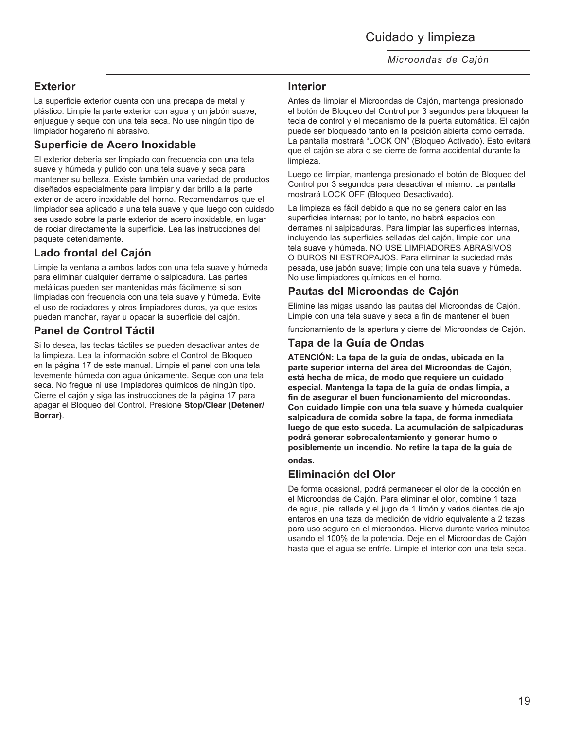Cuidado y limpieza

*Microondas de Cajón*

### **Exterior**

La superficie exterior cuenta con una precapa de metal y plástico. Limpie la parte exterior con agua y un jabón suave; enjuague y seque con una tela seca. No use ningún tipo de limpiador hogareño ni abrasivo.

## **Superficie de Acero Inoxidable**

El exterior debería ser limpiado con frecuencia con una tela suave y húmeda y pulido con una tela suave y seca para mantener su belleza. Existe también una variedad de productos diseñados especialmente para limpiar y dar brillo a la parte exterior de acero inoxidable del horno. Recomendamos que el limpiador sea aplicado a una tela suave y que luego con cuidado sea usado sobre la parte exterior de acero inoxidable, en lugar de rociar directamente la superficie. Lea las instrucciones del paquete detenidamente.

## **Lado frontal del Cajón**

Limpie la ventana a ambos lados con una tela suave y húmeda para eliminar cualquier derrame o salpicadura. Las partes metálicas pueden ser mantenidas más fácilmente si son limpiadas con frecuencia con una tela suave y húmeda. Evite el uso de rociadores y otros limpiadores duros, ya que estos pueden manchar, rayar u opacar la superficie del cajón.

## **Panel de Control Táctil**

Si lo desea, las teclas táctiles se pueden desactivar antes de la limpieza. Lea la información sobre el Control de Bloqueo en la página 17 de este manual. Limpie el panel con una tela levemente húmeda con agua únicamente. Seque con una tela seca. No fregue ni use limpiadores químicos de ningún tipo. Cierre el cajón y siga las instrucciones de la página 17 para apagar el Bloqueo del Control. Presione **Stop/Clear (Detener/ Borrar)**.

### **Interior**

Antes de limpiar el Microondas de Cajón, mantenga presionado el botón de Bloqueo del Control por 3 segundos para bloquear la tecla de control y el mecanismo de la puerta automática. El cajón puede ser bloqueado tanto en la posición abierta como cerrada. La pantalla mostrará "LOCK ON" (Bloqueo Activado). Esto evitará que el cajón se abra o se cierre de forma accidental durante la limpieza.

Luego de limpiar, mantenga presionado el botón de Bloqueo del Control por 3 segundos para desactivar el mismo. La pantalla mostrará LOCK OFF (Bloqueo Desactivado).

La limpieza es fácil debido a que no se genera calor en las superficies internas; por lo tanto, no habrá espacios con derrames ni salpicaduras. Para limpiar las superficies internas, incluyendo las superficies selladas del cajón, limpie con una tela suave y húmeda. NO USE LIMPIADORES ABRASIVOS O DUROS NI ESTROPAJOS. Para eliminar la suciedad más pesada, use jabón suave; limpie con una tela suave y húmeda. No use limpiadores químicos en el horno.

## **Pautas del Microondas de Cajón**

Elimine las migas usando las pautas del Microondas de Cajón. Limpie con una tela suave y seca a fin de mantener el buen

funcionamiento de la apertura y cierre del Microondas de Cajón.

### **Tapa de la Guía de Ondas**

**ATENCIÓN: La tapa de la guía de ondas, ubicada en la parte superior interna del área del Microondas de Cajón, está hecha de mica, de modo que requiere un cuidado especial. Mantenga la tapa de la guía de ondas limpia, a fin de asegurar el buen funcionamiento del microondas. Con cuidado limpie con una tela suave y húmeda cualquier salpicadura de comida sobre la tapa, de forma inmediata luego de que esto suceda. La acumulación de salpicaduras podrá generar sobrecalentamiento y generar humo o posiblemente un incendio. No retire la tapa de la guía de ondas.**

## **Eliminación del Olor**

De forma ocasional, podrá permanecer el olor de la cocción en el Microondas de Cajón. Para eliminar el olor, combine 1 taza de agua, piel rallada y el jugo de 1 limón y varios dientes de ajo enteros en una taza de medición de vidrio equivalente a 2 tazas para uso seguro en el microondas. Hierva durante varios minutos usando el 100% de la potencia. Deje en el Microondas de Cajón hasta que el agua se enfríe. Limpie el interior con una tela seca.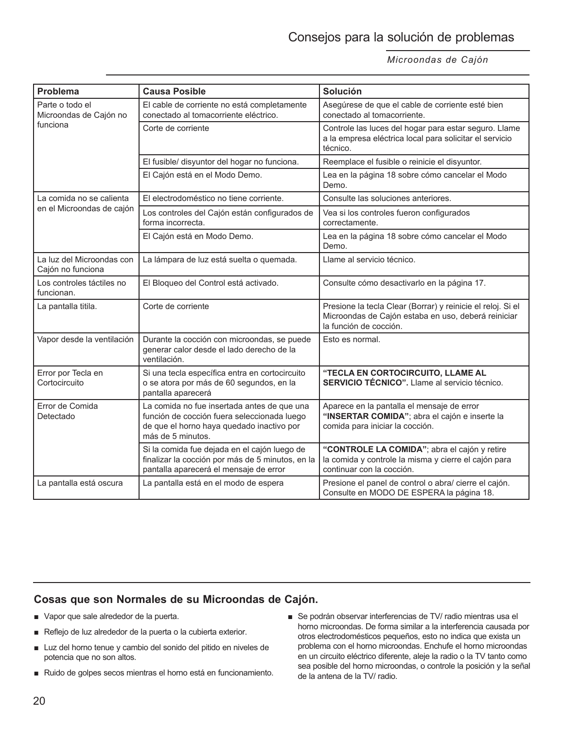| <b>Problema</b>                                       | <b>Causa Posible</b>                                                                                                                                         | Solución                                                                                                                                     |
|-------------------------------------------------------|--------------------------------------------------------------------------------------------------------------------------------------------------------------|----------------------------------------------------------------------------------------------------------------------------------------------|
| Parte o todo el<br>Microondas de Cajón no<br>funciona | El cable de corriente no está completamente<br>conectado al tomacorriente eléctrico.                                                                         | Asegúrese de que el cable de corriente esté bien<br>conectado al tomacorriente.                                                              |
|                                                       | Corte de corriente                                                                                                                                           | Controle las luces del hogar para estar seguro. Llame<br>a la empresa eléctrica local para solicitar el servicio<br>técnico.                 |
|                                                       | El fusible/ disyuntor del hogar no funciona.                                                                                                                 | Reemplace el fusible o reinicie el disyuntor.                                                                                                |
|                                                       | El Cajón está en el Modo Demo.                                                                                                                               | Lea en la página 18 sobre cómo cancelar el Modo<br>Demo.                                                                                     |
| La comida no se calienta<br>en el Microondas de cajón | El electrodoméstico no tiene corriente.                                                                                                                      | Consulte las soluciones anteriores.                                                                                                          |
|                                                       | Los controles del Cajón están configurados de<br>forma incorrecta.                                                                                           | Vea si los controles fueron configurados<br>correctamente.                                                                                   |
|                                                       | El Cajón está en Modo Demo.                                                                                                                                  | Lea en la página 18 sobre cómo cancelar el Modo<br>Demo.                                                                                     |
| La luz del Microondas con<br>Cajón no funciona        | La lámpara de luz está suelta o quemada.                                                                                                                     | Llame al servicio técnico.                                                                                                                   |
| Los controles táctiles no<br>funcionan.               | El Bloqueo del Control está activado.                                                                                                                        | Consulte cómo desactivarlo en la página 17.                                                                                                  |
| La pantalla titila.                                   | Corte de corriente                                                                                                                                           | Presione la tecla Clear (Borrar) y reinicie el reloj. Si el<br>Microondas de Cajón estaba en uso, deberá reiniciar<br>la función de cocción. |
| Vapor desde la ventilación                            | Durante la cocción con microondas, se puede<br>generar calor desde el lado derecho de la<br>ventilación.                                                     | Esto es normal.                                                                                                                              |
| Error por Tecla en<br>Cortocircuito                   | Si una tecla específica entra en cortocircuito<br>o se atora por más de 60 segundos, en la<br>pantalla aparecerá                                             | "TECLA EN CORTOCIRCUITO, LLAME AL<br>SERVICIO TÉCNICO". Llame al servicio técnico.                                                           |
| Error de Comida<br>Detectado                          | La comida no fue insertada antes de que una<br>función de cocción fuera seleccionada luego<br>de que el horno haya quedado inactivo por<br>más de 5 minutos. | Aparece en la pantalla el mensaje de error<br>"INSERTAR COMIDA"; abra el cajón e inserte la<br>comida para iniciar la cocción.               |
|                                                       | Si la comida fue dejada en el cajón luego de<br>finalizar la cocción por más de 5 minutos, en la<br>pantalla aparecerá el mensaje de error                   | "CONTROLE LA COMIDA"; abra el cajón y retire<br>la comida y controle la misma y cierre el cajón para<br>continuar con la cocción.            |
| La pantalla está oscura                               | La pantalla está en el modo de espera                                                                                                                        | Presione el panel de control o abra/ cierre el cajón.<br>Consulte en MODO DE ESPERA la página 18.                                            |

### **Cosas que son Normales de su Microondas de Cajón.**

- Vapor que sale alrededor de la puerta.
- Reflejo de luz alrededor de la puerta o la cubierta exterior.
- Luz del horno tenue y cambio del sonido del pitido en niveles de potencia que no son altos.
- Ruido de golpes secos mientras el horno está en funcionamiento.
- Se podrán observar interferencias de TV/ radio mientras usa el horno microondas. De forma similar a la interferencia causada por otros electrodomésticos pequeños, esto no indica que exista un problema con el horno microondas. Enchufe el horno microondas en un circuito eléctrico diferente, aleje la radio o la TV tanto como sea posible del horno microondas, o controle la posición y la señal de la antena de la TV/ radio.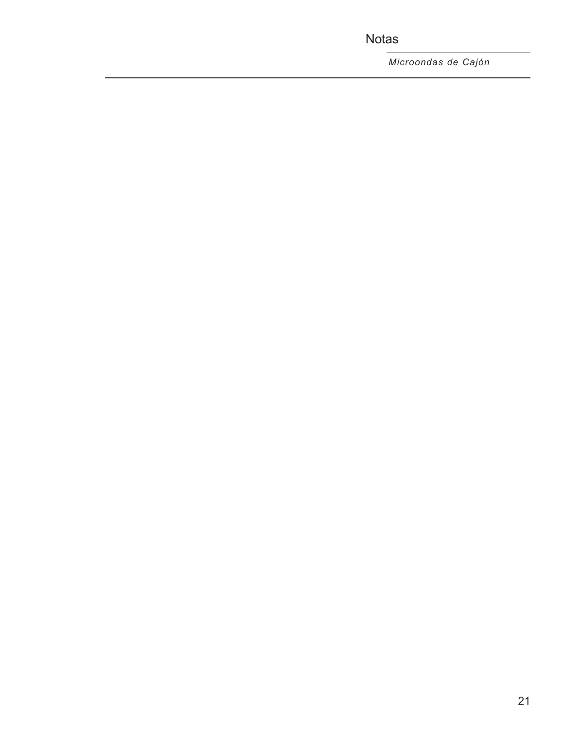Notas

*Microondas de Cajón*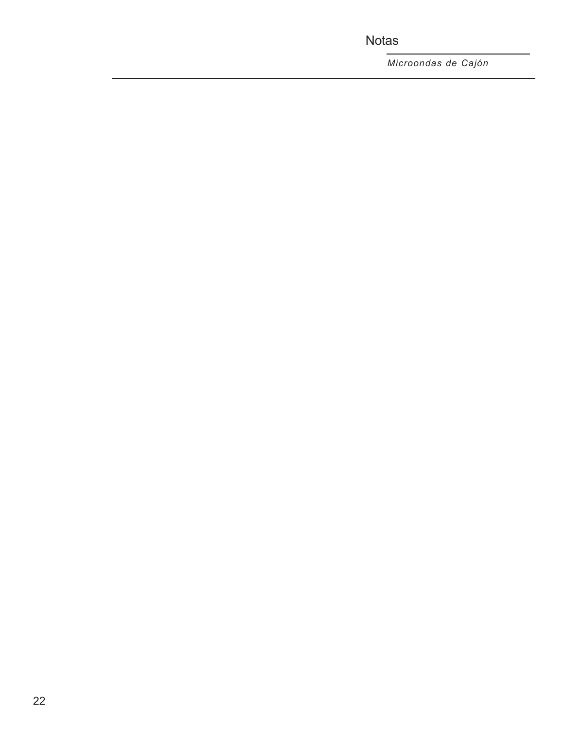Notas

*Microondas de Cajón*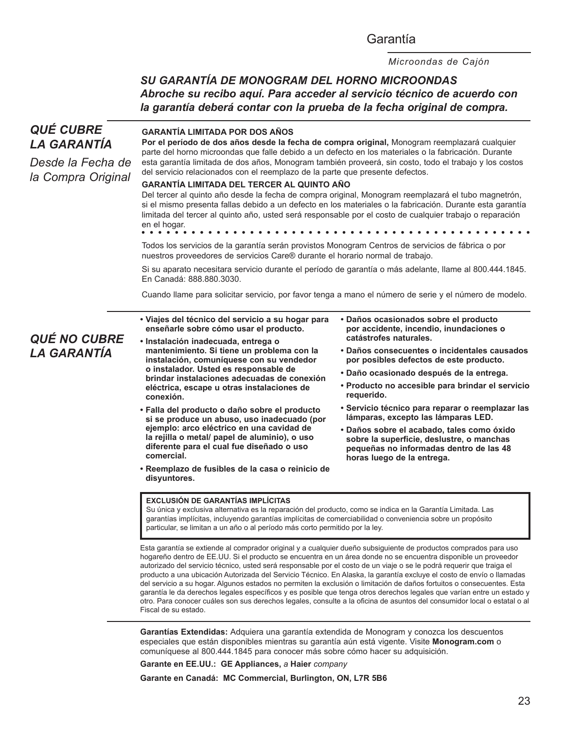### Garantía

*Microondas de Cajón*

## *SU GARANTÍA DE MONOGRAM DEL HORNO MICROONDAS Abroche su recibo aquí. Para acceder al servicio técnico de acuerdo con la garantía deberá contar con la prueba de la fecha original de compra.*

#### **• Viajes del técnico del servicio a su hogar para enseñarle sobre cómo usar el producto. • Instalación inadecuada, entrega o mantenimiento. Si tiene un problema con la instalación, comuníquese con su vendedor o instalador. Usted es responsable de brindar instalaciones adecuadas de conexión eléctrica, escape u otras instalaciones de conexión. • Falla del producto o daño sobre el producto si se produce un abuso, uso inadecuado (por ejemplo: arco eléctrico en una cavidad de la rejilla o metal/ papel de aluminio), o uso diferente para el cual fue diseñado o uso comercial. • Reemplazo de fusibles de la casa o reinicio de disyuntores. • Daños ocasionados sobre el producto por accidente, incendio, inundaciones o catástrofes naturales. • Daños consecuentes o incidentales causados por posibles defectos de este producto. • Daño ocasionado después de la entrega. • Producto no accesible para brindar el servicio requerido. • Servicio técnico para reparar o reemplazar las lámparas, excepto las lámparas LED. • Daños sobre el acabado, tales como óxido sobre la superficie, deslustre, o manchas pequeñas no informadas dentro de las 48 horas luego de la entrega.** *QUÉ CUBRE LA GARANTÍA Desde la Fecha de la Compra Original* Esta garantía se extiende al comprador original y a cualquier dueño subsiguiente de productos comprados para uso hogareño dentro de EE.UU. Si el producto se encuentra en un área donde no se encuentra disponible un proveedor autorizado del servicio técnico, usted será responsable por el costo de un viaje o se le podrá requerir que traiga el producto a una ubicación Autorizada del Servicio Técnico. En Alaska, la garantía excluye el costo de envío o llamadas del servicio a su hogar. Algunos estados no permiten la exclusión o limitación de daños fortuitos o consecuentes. Esta garantía le da derechos legales específicos y es posible que tenga otros derechos legales que varían entre un estado y otro. Para conocer cuáles son sus derechos legales, consulte a la oficina de asuntos del consumidor local o estatal o al Fiscal de su estado. **Garantías Extendidas:** Adquiera una garantía extendida de Monogram y conozca los descuentos especiales que están disponibles mientras su garantía aún está vigente. Visite **Monogram.com** o *QUÉ NO CUBRE LA GARANTÍA* **EXCLUSIÓN DE GARANTÍAS IMPLÍCITAS** Su única y exclusiva alternativa es la reparación del producto, como se indica en la Garantía Limitada. Las garantías implícitas, incluyendo garantías implícitas de comerciabilidad o conveniencia sobre un propósito particular, se limitan a un año o al período más corto permitido por la ley. **GARANTÍA LIMITADA POR DOS AÑOS**  Por el período de dos años desde la fecha de compra original, Monogram reemplazará cualquier parte del horno microondas que falle debido a un defecto en los materiales o la fabricación. Durante esta garantía limitada de dos años, Monogram también proveerá, sin costo, todo el trabajo y los costos del servicio relacionados con el reemplazo de la parte que presente defectos. **GARANTÍA LIMITADA DEL TERCER AL QUINTO AÑO**  Del tercer al quinto año desde la fecha de compra original, Monogram reemplazará el tubo magnetrón, si el mismo presenta fallas debido a un defecto en los materiales o la fabricación. Durante esta garantía limitada del tercer al quinto año, usted será responsable por el costo de cualquier trabajo o reparación en el hogar. Todos los servicios de la garantía serán provistos Monogram Centros de servicios de fábrica o por nuestros proveedores de servicios Care® durante el horario normal de trabajo. Si su aparato necesitara servicio durante el período de garantía o más adelante, llame al 800.444.1845. En Canadá: 888.880.3030. Cuando llame para solicitar servicio, por favor tenga a mano el número de serie y el número de modelo.

comuníquese al 800.444.1845 para conocer más sobre cómo hacer su adquisición.

**Garante en EE.UU.: GE Appliances,** *a* **Haier** *company*

**Garante en Canadá: MC Commercial, Burlington, ON, L7R 5B6**